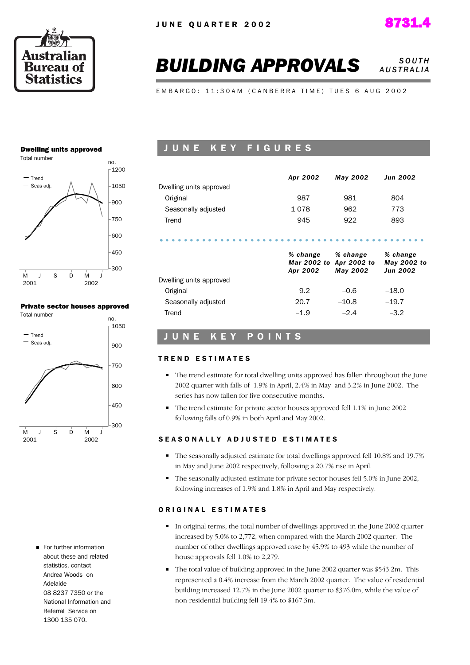



#### **BUILDING APPROVALS** *SOUTH A U S T R A L I A*

E M B A R G O : 11:30 A M ( C A N B E R R A T I M E ) T U E S 6 A U G 2002

#### Dwelling units approved



#### Private sector houses approved



For further information about these and related statistics, contact Andrea Woods on Adelaide 08 8237 7350 or the National Information and Referral Service on 1300 135 070.

### JUNE KEY FIGURES

|                         | Apr 2002                | May 2002                | <b>Jun 2002</b>                            |
|-------------------------|-------------------------|-------------------------|--------------------------------------------|
| Dwelling units approved |                         |                         |                                            |
| Original                | 987                     | 981                     | 804                                        |
| Seasonally adjusted     | 1078                    | 962                     | 773                                        |
| Trend                   | 945                     | 922                     | 893                                        |
|                         | % change                | % change                |                                            |
|                         | Mar 2002 to<br>Apr 2002 | Apr 2002 to<br>May 2002 | % change<br>May 2002 to<br><b>Jun 2002</b> |
| Dwelling units approved |                         |                         |                                            |
| Original                | 9.2                     | $-0.6$                  | $-18.0$                                    |
| Seasonally adjusted     | 20.7                    | $-10.8$                 | $-19.7$                                    |

#### UNE KEY POINTS

#### TREND ESTIMATES

- The trend estimate for total dwelling units approved has fallen throughout the June 2002 quarter with falls of 1.9% in April, 2.4% in May and 3.2% in June 2002. The series has now fallen for five consecutive months.
- The trend estimate for private sector houses approved fell 1.1% in June 2002 following falls of 0.9% in both April and May 2002.

#### SEASONALLY ADJUSTED ESTIMATES

- The seasonally adjusted estimate for total dwellings approved fell 10.8% and 19.7% in May and June 2002 respectively, following a 20.7% rise in April.
- The seasonally adjusted estimate for private sector houses fell 5.0% in June 2002, following increases of 1.9% and 1.8% in April and May respectively.

#### ORIGINAL ESTIMATES

- In original terms, the total number of dwellings approved in the June 2002 quarter increased by 5.0% to 2,772, when compared with the March 2002 quarter. The number of other dwellings approved rose by 45.9% to 493 while the number of house approvals fell 1.0% to 2,279.
- The total value of building approved in the June 2002 quarter was \$543.2m. This represented a 0.4% increase from the March 2002 quarter. The value of residential building increased 12.7% in the June 2002 quarter to \$376.0m, while the value of non-residential building fell 19.4% to \$167.3m.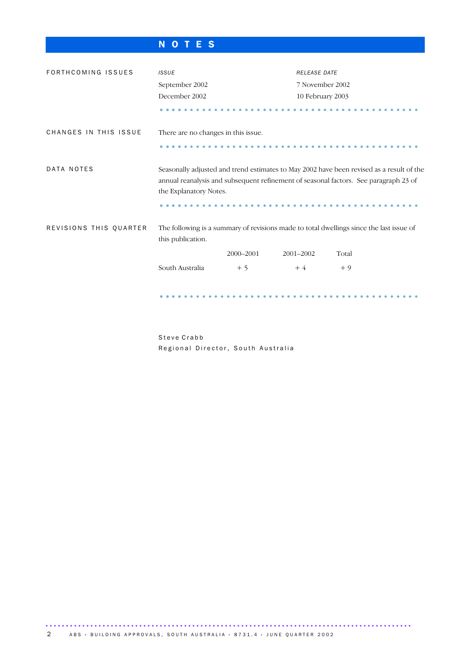## N O T E S

| FORTHCOMING ISSUES     | <b>ISSUE</b>                                                                                                                                                                                               |           | <b>RELEASE DATE</b> |                                                                                         |  |
|------------------------|------------------------------------------------------------------------------------------------------------------------------------------------------------------------------------------------------------|-----------|---------------------|-----------------------------------------------------------------------------------------|--|
|                        | September 2002                                                                                                                                                                                             |           | 7 November 2002     |                                                                                         |  |
|                        | December 2002                                                                                                                                                                                              |           | 10 February 2003    |                                                                                         |  |
|                        |                                                                                                                                                                                                            |           |                     |                                                                                         |  |
| CHANGES IN THIS ISSUE  | There are no changes in this issue.                                                                                                                                                                        |           |                     |                                                                                         |  |
|                        |                                                                                                                                                                                                            |           |                     |                                                                                         |  |
| DATA NOTES             | Seasonally adjusted and trend estimates to May 2002 have been revised as a result of the<br>annual reanalysis and subsequent refinement of seasonal factors. See paragraph 23 of<br>the Explanatory Notes. |           |                     |                                                                                         |  |
|                        |                                                                                                                                                                                                            |           |                     |                                                                                         |  |
| REVISIONS THIS QUARTER | this publication.                                                                                                                                                                                          |           |                     | The following is a summary of revisions made to total dwellings since the last issue of |  |
|                        |                                                                                                                                                                                                            | 2000-2001 | 2001-2002           | Total                                                                                   |  |
|                        | South Australia                                                                                                                                                                                            | $+5$      | $+4$                | $+9$                                                                                    |  |
|                        |                                                                                                                                                                                                            |           |                     |                                                                                         |  |

Steve Crabb Regional Director, South Australia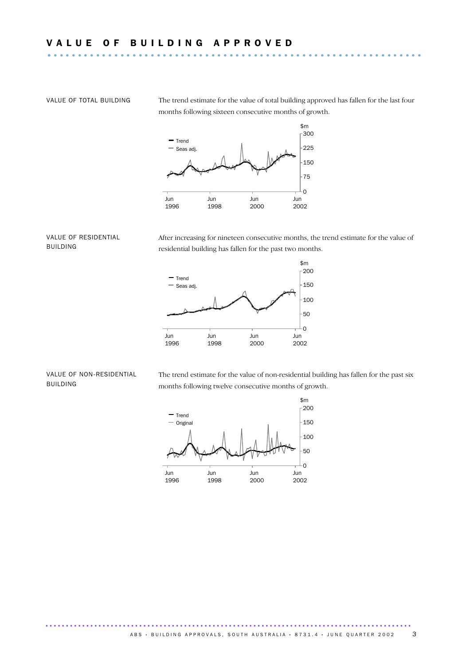VALUE OF TOTAL BUILDING The trend estimate for the value of total building approved has fallen for the last four months following sixteen consecutive months of growth.



#### VALUE OF RESIDENTIAL BUILDING

After increasing for nineteen consecutive months, the trend estimate for the value of residential building has fallen for the past two months.



#### VALUE OF NON-RESIDENTIAL BUILDING

The trend estimate for the value of non-residential building has fallen for the past six months following twelve consecutive months of growth.

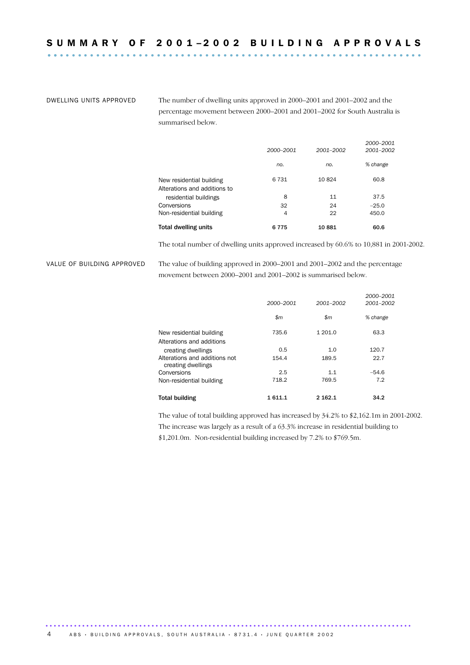DWELLING UNITS APPROVED The number of dwelling units approved in 2000–2001 and 2001–2002 and the percentage movement between 2000–2001 and 2001–2002 for South Australia is summarised below.

| Total dwelling units                                  | 6775      | 10881     | 60.6                   |
|-------------------------------------------------------|-----------|-----------|------------------------|
| Non-residential building                              | 4         | 22        | 450.0                  |
| Conversions                                           | 32        | 24        | $-25.0$                |
| Alterations and additions to<br>residential buildings | 8         | 11        | 37.5                   |
| New residential building                              | 6 7 3 1   | 10824     | 60.8                   |
|                                                       | no.       | no.       | % change               |
|                                                       | 2000-2001 | 2001-2002 | 2000-2001<br>2001-2002 |

The total number of dwelling units approved increased by 60.6% to 10,881 in 2001-2002.

VALUE OF BUILDING APPROVED The value of building approved in 2000–2001 and 2001–2002 and the percentage movement between 2000–2001 and 2001–2002 is summarised below.

|                                                       | 2000–2001    | 2001-2002    | 2000-2001<br>2001-2002 |
|-------------------------------------------------------|--------------|--------------|------------------------|
|                                                       | $\mathsf{m}$ | $\mathsf{m}$ | % change               |
| New residential building<br>Alterations and additions | 735.6        | 1 201.0      | 63.3                   |
| creating dwellings                                    | 0.5          | 1.0          | 120.7                  |
| Alterations and additions not<br>creating dwellings   | 154.4        | 189.5        | 22.7                   |
| Conversions                                           | 2.5          | 1.1          | $-54.6$                |
| Non-residential building                              | 718.2        | 769.5        | 7.2                    |
| <b>Total building</b>                                 | 1 611.1      | 2 162.1      | 34.2                   |

The value of total building approved has increased by 34.2% to \$2,162.1m in 2001-2002. The increase was largely as a result of a 63.3% increase in residential building to \$1,201.0m. Non-residential building increased by 7.2% to \$769.5m.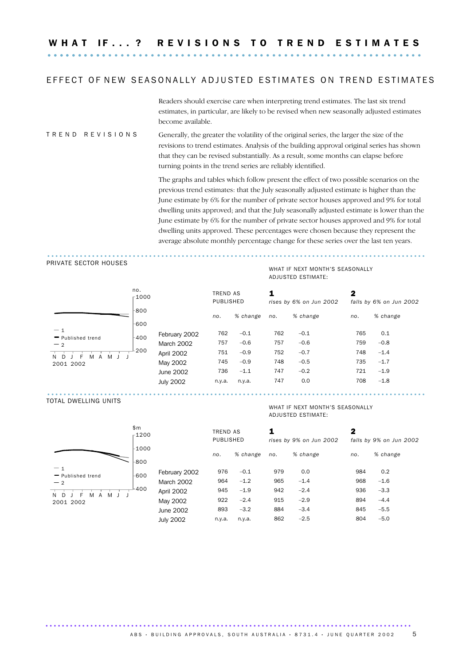W H A T I F . . . ? R E V I S I O N S T O T R E N D E S T I M A T E S .............................................................. ..........

#### EFFECT OF NEW SEASONALLY ADJUSTED ESTIMATES ON TREND ESTIMATES

Readers should exercise care when interpreting trend estimates. The last six trend estimates, in particular, are likely to be revised when new seasonally adjusted estimates become available.

#### T R E N D R E V I S I O N S Generally, the greater the volatility of the original series, the larger the size of the revisions to trend estimates. Analysis of the building approval original series has shown that they can be revised substantially. As a result, some months can elapse before turning points in the trend series are reliably identified.

The graphs and tables which follow present the effect of two possible scenarios on the previous trend estimates: that the July seasonally adjusted estimate is higher than the June estimate by 6% for the number of private sector houses approved and 9% for total dwelling units approved; and that the July seasonally adjusted estimate is lower than the June estimate by 6% for the number of private sector houses approved and 9% for total dwelling units approved. These percentages were chosen because they represent the average absolute monthly percentage change for these series over the last ten years.

#### PRIVATE SECTOR HOUSES



#### WHAT IF NEXT MONTH'S SEASONALLY ADJUSTED ESTIMATE:

.............................................................................................

| 00 |                  | <b>TREND AS</b><br>PUBLISHED |          | 1   | rises by 6% on Jun 2002 | 2   | falls by 6% on Jun 2002 |
|----|------------------|------------------------------|----------|-----|-------------------------|-----|-------------------------|
| 0  |                  | no.                          | % change | no. | % change                | no. | % change                |
| 0  |                  |                              |          |     |                         |     |                         |
| 0  | February 2002    | 762                          | $-0.1$   | 762 | $-0.1$                  | 765 | 0.1                     |
|    | March 2002       | 757                          | $-0.6$   | 757 | $-0.6$                  | 759 | $-0.8$                  |
| 0  | April 2002       | 751                          | $-0.9$   | 752 | $-0.7$                  | 748 | $-1.4$                  |
|    | May 2002         | 745                          | $-0.9$   | 748 | $-0.5$                  | 735 | $-1.7$                  |
|    | June 2002        | 736                          | $-1.1$   | 747 | $-0.2$                  | 721 | $-1.9$                  |
|    | <b>July 2002</b> | n.y.a.                       | n.y.a.   | 747 | 0.0                     | 708 | $-1.8$                  |
|    |                  |                              |          |     |                         |     |                         |

.............................................................................................

#### TOTAL DWELLING UNITS



#### WHAT IF NEXT MONTH'S SEASONALLY ADJUSTED ESTIMATE:

| \$m\$<br>$-1200$ |              |                  | TREND AS<br><b>PUBLISHED</b> |          | rises by 9% on Jun 2002 |          | 2<br>falls by 9% on Jun 2002 |          |  |
|------------------|--------------|------------------|------------------------------|----------|-------------------------|----------|------------------------------|----------|--|
|                  | -1000<br>800 |                  | no.                          | % change | no.                     | % change | no.                          | % change |  |
| nd               | 600          | February 2002    | 976                          | $-0.1$   | 979                     | 0.0      | 984                          | 0.2      |  |
|                  |              | March 2002       | 964                          | $-1.2$   | 965                     | $-1.4$   | 968                          | $-1.6$   |  |
| M<br>A           | 400          | April 2002       | 945                          | $-1.9$   | 942                     | $-2.4$   | 936                          | $-3.3$   |  |
|                  |              | May 2002         | 922                          | $-2.4$   | 915                     | $-2.9$   | 894                          | $-4.4$   |  |
|                  |              | June 2002        | 893                          | $-3.2$   | 884                     | $-3.4$   | 845                          | $-5.5$   |  |
|                  |              | <b>July 2002</b> | n.y.a.                       | n.y.a.   | 862                     | $-2.5$   | 804                          | $-5.0$   |  |
|                  |              |                  |                              |          |                         |          |                              |          |  |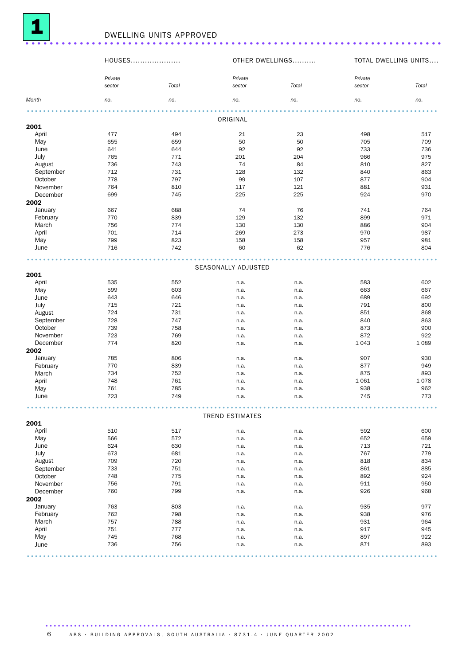

|              |                   | <b>DWELLING UNITS APPROVED</b> |                        |                 |                   |                      |
|--------------|-------------------|--------------------------------|------------------------|-----------------|-------------------|----------------------|
|              | HOUSES            |                                |                        | OTHER DWELLINGS |                   | TOTAL DWELLING UNITS |
|              | Private<br>sector | Total                          | Private<br>sector      | Total           | Private<br>sector | Total                |
| Month        | no.               | no.                            | no.                    | no.             | no.               | no.                  |
|              |                   |                                |                        |                 |                   |                      |
|              |                   |                                | ORIGINAL               |                 |                   |                      |
| 2001         |                   |                                |                        |                 |                   |                      |
| April        | 477               | 494                            | 21                     | 23              | 498               | 517                  |
| May          | 655               | 659                            | 50                     | 50              | 705               | 709                  |
| June         | 641               | 644                            | 92                     | 92              | 733               | 736                  |
| July         | 765               | 771                            | 201                    | 204             | 966               | 975                  |
| August       | 736               | 743                            | 74                     | 84              | 810               | 827                  |
| September    | 712               | 731                            | 128                    | 132             | 840               | 863                  |
| October      | 778               | 797                            | 99                     | 107             | 877               | 904                  |
| November     | 764               | 810                            | 117                    | 121             | 881               | 931                  |
| December     | 699               | 745                            | 225                    | 225             | 924               | 970                  |
| 2002         |                   |                                |                        |                 |                   |                      |
| January      | 667               | 688                            | 74                     | 76              | 741               | 764                  |
| February     | 770               | 839                            | 129                    | 132             | 899               | 971                  |
| March        | 756               | 774                            | 130                    | 130             | 886               | 904                  |
| April        | 701               | 714                            | 269                    | 273             | 970               | 987                  |
|              | 799               | 823                            | 158                    | 158             | 957               | 981                  |
| May          |                   |                                |                        |                 |                   |                      |
| June         | 716               | 742                            | 60                     | 62              | 776               | 804                  |
|              |                   |                                |                        |                 |                   |                      |
|              |                   |                                | SEASONALLY ADJUSTED    |                 |                   |                      |
| 2001         |                   |                                |                        |                 |                   |                      |
| April        | 535               | 552                            | n.a.                   | n.a.            | 583               | 602                  |
| May          | 599               | 603                            | n.a.                   | n.a.            | 663               | 667                  |
| June         | 643               | 646                            | n.a.                   | n.a.            | 689               | 692                  |
| July         | 715               | 721                            | n.a.                   | n.a.            | 791               | 800                  |
| August       | 724               | 731                            | n.a.                   | n.a.            | 851               | 868                  |
| September    | 728               | 747                            | n.a.                   | n.a.            | 840               | 863                  |
| October      | 739               | 758                            |                        |                 | 873               | 900                  |
| November     |                   |                                | n.a.                   | n.a.            |                   |                      |
|              | 723               | 769                            | n.a.                   | n.a.            | 872               | 922                  |
| December     | 774               | 820                            | n.a.                   | n.a.            | 1043              | 1 0 8 9              |
| 2002         |                   |                                |                        |                 |                   |                      |
| January      | 785               | 806                            | n.a.                   | n.a.            | 907               | 930                  |
| February     | 770               | 839                            | n.a.                   | n.a.            | 877               | 949                  |
| <b>March</b> | 734               | 752                            | n.a.                   | n.a.            | 875               | 893                  |
| April        | 748               | 761                            | n.a.                   | n.a.            | 1 0 6 1           | 1078                 |
| May          | 761               | 785                            | n.a.                   | n.a.            | 938               | 962                  |
| June         | 723               | 749                            | n.a.                   | n.a.            | 745               | 773                  |
|              |                   |                                |                        |                 |                   |                      |
|              |                   |                                | <b>TREND ESTIMATES</b> |                 |                   |                      |
| 2001         |                   |                                |                        |                 |                   |                      |
| April        | 510               | 517                            | n.a.                   | n.a.            | 592               | 600                  |
| May          | 566               | 572                            | n.a.                   | n.a.            | 652               | 659                  |
| June         | 624               | 630                            | n.a.                   | n.a.            | 713               | 721                  |
| July         | 673               | 681                            | n.a.                   | n.a.            | 767               | 779                  |
| August       | 709               | 720                            | n.a.                   | n.a.            | 818               | 834                  |
| September    | 733               | 751                            | n.a.                   | n.a.            | 861               | 885                  |
| October      | 748               | 775                            | n.a.                   | n.a.            | 892               | 924                  |
| November     | 756               | 791                            |                        |                 | 911               | 950                  |
| December     | 760               | 799                            | n.a.                   | n.a.            | 926               | 968                  |
|              |                   |                                | n.a.                   | n.a.            |                   |                      |
| 2002         |                   |                                |                        |                 |                   |                      |
| January      | 763               | 803                            | n.a.                   | n.a.            | 935               | 977                  |

February 762 798 n.a. n.a. 938 976 March 757 788 n.a. n.a. 931 964 April 751 777 n.a. n.a. 917 945 May 745 768 n.a. n.a. 897 922 June 736 756 n.a. n.a. 871 893 .....................................................................................................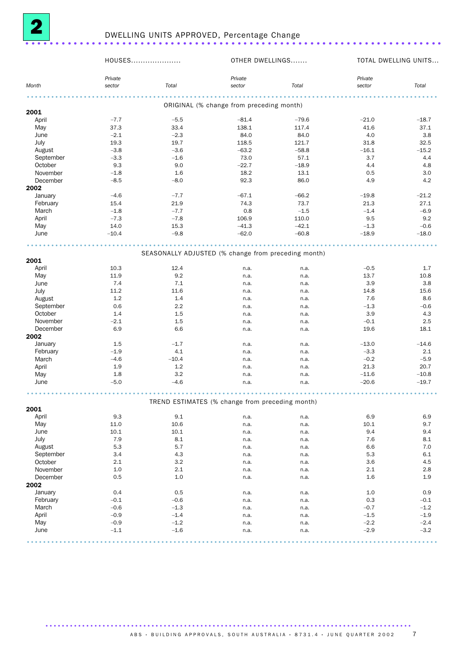

|           | HOUSES            |         | OTHER DWELLINGS                                     |                  |                   | TOTAL DWELLING UNITS |
|-----------|-------------------|---------|-----------------------------------------------------|------------------|-------------------|----------------------|
| Month     | Private<br>sector | Total   | Private<br>sector                                   | Total            | Private<br>sector | Total                |
|           |                   |         |                                                     |                  |                   |                      |
| 2001      |                   |         | ORIGINAL (% change from preceding month)            |                  |                   |                      |
| April     | $-7.7$            | $-5.5$  |                                                     |                  | $-21.0$           | $-18.7$              |
| May       | 37.3              | 33.4    | $-81.4$<br>138.1                                    | $-79.6$<br>117.4 | 41.6              | 37.1                 |
| June      | $-2.1$            | $-2.3$  | 84.0                                                | 84.0             | 4.0               | 3.8                  |
| July      | 19.3              | 19.7    | 118.5                                               | 121.7            | 31.8              | 32.5                 |
| August    | $-3.8$            | $-3.6$  | $-63.2$                                             | $-58.8$          | $-16.1$           | $-15.2$              |
| September | $-3.3$            | $-1.6$  | 73.0                                                | 57.1             | 3.7               | 4.4                  |
| October   | 9.3               | 9.0     | $-22.7$                                             | $-18.9$          | 4.4               | 4.8                  |
| November  | $-1.8$            | 1.6     | 18.2                                                | 13.1             | 0.5               | 3.0                  |
| December  | $-8.5$            | $-8.0$  | 92.3                                                | 86.0             | 4.9               | 4.2                  |
| 2002      |                   |         |                                                     |                  |                   |                      |
| January   | $-4.6$            | $-7.7$  | $-67.1$                                             | $-66.2$          | $-19.8$           | $-21.2$              |
| February  | 15.4              | 21.9    | 74.3                                                | 73.7             | 21.3              | 27.1                 |
| March     | $-1.8$            | $-7.7$  | 0.8                                                 | $-1.5$           | $-1.4$            | $-6.9$               |
| April     | $-7.3$            | $-7.8$  | 106.9                                               | 110.0            | 9.5               | 9.2                  |
| May       | 14.0              | 15.3    | $-41.3$                                             | $-42.1$          | $-1.3$            | $-0.6$               |
| June      | $-10.4$           | $-9.8$  | $-62.0$                                             | $-60.8$          | $-18.9$           | $-18.0$              |
|           |                   |         |                                                     |                  |                   |                      |
|           |                   |         | SEASONALLY ADJUSTED (% change from preceding month) |                  |                   |                      |
| 2001      |                   |         |                                                     |                  |                   |                      |
| April     | 10.3              | 12.4    | n.a.                                                | n.a.             | $-0.5$            | 1.7                  |
| May       | 11.9              | 9.2     | n.a.                                                | n.a.             | 13.7              | 10.8                 |
| June      | 7.4               | 7.1     | n.a.                                                | n.a.             | 3.9               | 3.8                  |
| July      | 11.2              | 11.6    | n.a.                                                | n.a.             | 14.8              | 15.6                 |
| August    | 1.2               | 1.4     | n.a.                                                | n.a.             | 7.6               | 8.6                  |
| September | 0.6               | 2.2     | n.a.                                                | n.a.             | $-1.3$            | $-0.6$               |
| October   | 1.4               | 1.5     | n.a.                                                | n.a.             | 3.9               | 4.3                  |
| November  | $-2.1$            | 1.5     | n.a.                                                | n.a.             | $-0.1$            | 2.5                  |
| December  | 6.9               | 6.6     | n.a.                                                | n.a.             | 19.6              | 18.1                 |
| 2002      |                   |         |                                                     |                  |                   |                      |
| January   | 1.5               | $-1.7$  | n.a.                                                | n.a.             | $-13.0$           | $-14.6$              |
| February  | $-1.9$            | 4.1     | n.a.                                                | n.a.             | $-3.3$            | 2.1                  |
| March     | $-4.6$            | $-10.4$ | n.a.                                                | n.a.             | $-0.2$            | $-5.9$               |
| April     | 1.9               | 1.2     | n.a.                                                | n.a.             | 21.3              | 20.7                 |
| May       | 1.8               | 3.2     | n.a.                                                | n.a.             | $-11.6$           | $-10.8$              |
| June      | $-5.0$            | $-4.6$  | n.a.                                                | n.a.             | $-20.6$           | $-19.7$              |
|           |                   |         | TREND ESTIMATES (% change from preceding month)     |                  |                   |                      |
| 2001      |                   |         |                                                     |                  |                   |                      |
| April     | 9.3               | 9.1     | n.a.                                                | n.a.             | 6.9               | 6.9                  |
| May       | 11.0              | 10.6    | n.a.                                                | n.a.             | 10.1              | 9.7                  |
| June      | 10.1              | 10.1    | n.a.                                                | n.a.             | 9.4               | 9.4                  |
| July      | 7.9               | 8.1     | n.a.                                                | n.a.             | 7.6               | 8.1                  |
| August    | 5.3               | 5.7     | n.a.                                                | n.a.             | 6.6               | 7.0                  |
| September | 3.4               | 4.3     | n.a.                                                | n.a.             | 5.3               | 6.1                  |
| October   | 2.1               | 3.2     | n.a.                                                | n.a.             | 3.6               | 4.5                  |
| November  | 1.0               | 2.1     | n.a.                                                | n.a.             | 2.1               | 2.8                  |
| December  | 0.5               | $1.0$   | n.a.                                                | n.a.             | 1.6               | 1.9                  |
| 2002      |                   |         |                                                     |                  |                   |                      |
| January   | 0.4               | 0.5     | n.a.                                                | n.a.             | 1.0               | 0.9                  |
| February  | $-0.1$            | $-0.6$  | n.a.                                                | n.a.             | 0.3               | $-0.1$               |
| March     | $-0.6$            | $-1.3$  | n.a.                                                | n.a.             | $-0.7$            | $-1.2$               |
| April     | $-0.9$            | $-1.4$  | n.a.                                                | n.a.             | $-1.5$            | $-1.9$               |
| May       | $-0.9$            | $-1.2$  | n.a.                                                | n.a.             | $-2.2$            | $-2.4$               |
| June      | $-1.1$            | $-1.6$  | n.a.                                                | n.a.             | $-2.9$            | $-3.2$               |
|           |                   |         |                                                     |                  |                   |                      |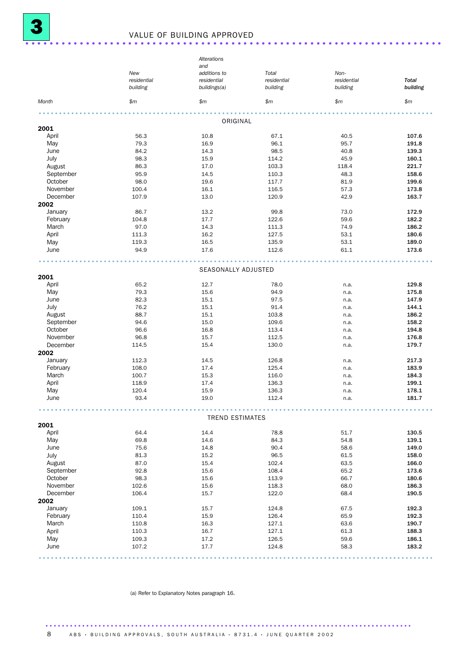## <sup>3</sup> VALUE OF BUILDING APPROVED .....................................................................

|           |             | Alterations            |             |             |              |
|-----------|-------------|------------------------|-------------|-------------|--------------|
|           |             | and                    |             |             |              |
|           | New         | additions to           | Total       | Non-        |              |
|           | residential | residential            | residential | residential | <b>Total</b> |
|           | building    | buildings(a)           | building    | building    | building     |
| Month     | \$m         | \$m\$                  | \$m\$       | \$m\$       | \$m          |
|           |             |                        |             |             |              |
| 2001      |             | ORIGINAL               |             |             |              |
| April     | 56.3        | 10.8                   | 67.1        | 40.5        | 107.6        |
| May       | 79.3        | 16.9                   | 96.1        | 95.7        | 191.8        |
| June      | 84.2        | 14.3                   | 98.5        | 40.8        | 139.3        |
| July      | 98.3        | 15.9                   | 114.2       | 45.9        | 160.1        |
| August    | 86.3        | 17.0                   | 103.3       | 118.4       | 221.7        |
| September | 95.9        | 14.5                   | 110.3       | 48.3        | 158.6        |
| October   | 98.0        | 19.6                   | 117.7       | 81.9        | 199.6        |
| November  | 100.4       | 16.1                   | 116.5       | 57.3        | 173.8        |
| December  | 107.9       | 13.0                   | 120.9       | 42.9        | 163.7        |
| 2002      |             |                        |             |             |              |
| January   | 86.7        | 13.2                   | 99.8        | 73.0        | 172.9        |
| February  | 104.8       | 17.7                   | 122.6       | 59.6        | 182.2        |
| March     | 97.0        | 14.3                   | 111.3       | 74.9        | 186.2        |
| April     | 111.3       | 16.2                   | 127.5       | 53.1        | 180.6        |
| May       | 119.3       | 16.5                   | 135.9       | 53.1        | 189.0        |
| June      | 94.9        | 17.6                   | 112.6       | 61.1        | 173.6        |
|           |             |                        |             |             |              |
|           |             | SEASONALLY ADJUSTED    |             |             |              |
| 2001      |             |                        |             |             |              |
| April     | 65.2        | 12.7                   | 78.0        | n.a.        | 129.8        |
| May       | 79.3        | 15.6                   | 94.9        | n.a.        | 175.8        |
| June      | 82.3        | 15.1                   | 97.5        | n.a.        | 147.9        |
| July      | 76.2        | 15.1                   | 91.4        | n.a.        | 144.1        |
| August    | 88.7        | 15.1                   | 103.8       | n.a.        | 186.2        |
| September | 94.6        | 15.0                   | 109.6       | n.a.        | 158.2        |
| October   | 96.6        | 16.8                   | 113.4       | n.a.        | 194.8        |
| November  | 96.8        | 15.7                   | 112.5       | n.a.        | 176.8        |
| December  | 114.5       | 15.4                   | 130.0       | n.a.        | 179.7        |
| 2002      |             |                        |             |             |              |
| January   | 112.3       | 14.5                   | 126.8       | n.a.        | 217.3        |
| February  | 108.0       | 17.4                   | 125.4       | n.a.        | 183.9        |
| March     | 100.7       | 15.3                   | 116.0       | n.a.        | 184.3        |
| April     | 118.9       | 17.4                   | 136.3       | n.a.        | 199.1        |
| May       | 120.4       | 15.9                   | 136.3       | n.a.        | 178.1        |
| June      | 93.4        | 19.0                   | 112.4       | n.a.        | 181.7        |
|           |             |                        |             |             |              |
|           |             | <b>TREND ESTIMATES</b> |             |             |              |
| 2001      |             |                        |             |             |              |
| April     | 64.4        | 14.4                   | 78.8        | 51.7        | 130.5        |
| May       | 69.8        | 14.6                   | 84.3        | 54.8        | 139.1        |
| June      | 75.6        | 14.8                   | 90.4        | 58.6        | 149.0        |
| July      | 81.3        | 15.2                   | 96.5        | 61.5        | 158.0        |
| August    | 87.0        | 15.4                   | 102.4       | 63.5        | 166.0        |
| September | 92.8        | 15.6                   | 108.4       | 65.2        | 173.6        |
| October   | 98.3        | 15.6                   | 113.9       | 66.7        | 180.6        |
| November  | 102.6       | 15.6                   | 118.3       | 68.0        | 186.3        |
| December  | 106.4       | 15.7                   | 122.0       | 68.4        | 190.5        |
| 2002      |             |                        |             |             |              |
| January   | 109.1       | 15.7                   | 124.8       | 67.5        | 192.3        |
| February  | 110.4       | 15.9                   | 126.4       | 65.9        | 192.3        |
| March     | 110.8       | 16.3                   | 127.1       | 63.6        | 190.7        |
| April     | 110.3       | 16.7                   | 127.1       | 61.3        | 188.3        |
| May       | 109.3       | 17.2                   | 126.5       | 59.6        | 186.1        |
| June      | 107.2       | 17.7                   | 124.8       | 58.3        | 183.2        |
|           |             |                        |             |             |              |

(a) Refer to Explanatory Notes paragraph 16.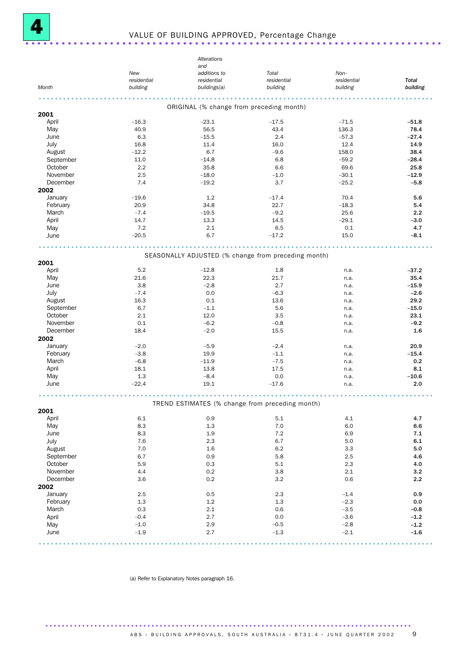

## <sup>4</sup> VALUE OF BUILDING APPROVED, Percentage Change .....................................................................

|           |             | Alterations                                         |             |             |              |
|-----------|-------------|-----------------------------------------------------|-------------|-------------|--------------|
|           |             | and                                                 |             |             |              |
|           | New         | additions to                                        | Total       | Non-        |              |
|           | residential | residential                                         | residential | residential | <b>Total</b> |
| Month     | building    | buildings(a)                                        | building    | building    | building     |
|           |             |                                                     |             |             |              |
|           |             | ORIGINAL (% change from preceding month)            |             |             |              |
| 2001      |             |                                                     |             |             |              |
| April     | $-16.3$     | $-23.1$                                             | $-17.5$     | $-71.5$     | $-51.8$      |
| May       | 40.9        | 56.5                                                | 43.4        | 136.3       | 78.4         |
| June      | 6.3         | $-15.5$                                             | 2.4         | $-57.3$     | $-27.4$      |
| July      | 16.8        | 11.4                                                | 16.0        | 12.4        | 14.9         |
| August    | $-12.2$     | 6.7                                                 | $-9.6$      | 158.0       | 38.4         |
| September | 11.0        | $-14.8$                                             | 6.8         | $-59.2$     | $-28.4$      |
| October   | 2.2         | 35.8                                                | 6.6         | 69.6        | 25.8         |
| November  | 2.5         | $-18.0$                                             | $-1.0$      | $-30.1$     | $-12.9$      |
| December  | 7.4         | $-19.2$                                             | 3.7         | $-25.2$     | $-5.8$       |
| 2002      |             |                                                     |             |             |              |
|           | $-19.6$     | 1.2                                                 |             | 70.4        |              |
| January   |             |                                                     | $-17.4$     |             | 5.6          |
| February  | 20.9        | 34.8                                                | 22.7        | $-18.3$     | 5.4          |
| March     | $-7.4$      | $-19.5$                                             | $-9.2$      | 25.6        | 2.2          |
| April     | 14.7        | 13.3                                                | 14.5        | $-29.1$     | $-3.0$       |
| May       | 7.2         | 2.1                                                 | 6.5         | 0.1         | 4.7          |
| June      | $-20.5$     | 6.7                                                 | $-17.2$     | 15.0        | $-8.1$       |
|           |             |                                                     |             |             |              |
|           |             | SEASONALLY ADJUSTED (% change from preceding month) |             |             |              |
| 2001      |             |                                                     |             |             |              |
| April     | 5.2         | $-12.8$                                             | 1.8         | n.a.        | $-37.2$      |
| May       | 21.6        | 22.3                                                | 21.7        | n.a.        | 35.4         |
|           |             |                                                     |             |             |              |
| June      | 3.8         | $-2.8$                                              | 2.7         | n.a.        | $-15.9$      |
| July      | $-7.4$      | 0.0                                                 | $-6.3$      | n.a.        | $-2.6$       |
| August    | 16.3        | 0.1                                                 | 13.6        | n.a.        | 29.2         |
| September | 6.7         | $-1.1$                                              | 5.6         | n.a.        | $-15.0$      |
| October   | 2.1         | 12.0                                                | 3.5         | n.a.        | 23.1         |
| November  | 0.1         | $-6.2$                                              | $-0.8$      | n.a.        | $-9.2$       |
| December  | 18.4        | $-2.0$                                              | 15.5        | n.a.        | 1.6          |
| 2002      |             |                                                     |             |             |              |
| January   | $-2.0$      | $-5.9$                                              | $-2.4$      | n.a.        | 20.9         |
| February  | $-3.8$      | 19.9                                                | $-1.1$      | n.a.        | $-15.4$      |
| March     | $-6.8$      | $-11.9$                                             | $-7.5$      | n.a.        | 0.2          |
| April     | 18.1        | 13.8                                                | 17.5        | n.a.        | 8.1          |
| May       | 1.3         | $-8.4$                                              | 0.0         | n.a.        | $-10.6$      |
| June      | $-22.4$     | 19.1                                                | $-17.6$     | n.a.        | 2.0          |
|           |             |                                                     |             |             |              |
|           |             |                                                     |             |             |              |
|           |             | TREND ESTIMATES (% change from preceding month)     |             |             |              |
| 2001      |             |                                                     |             |             |              |
| April     | 6.1         | 0.9                                                 | 5.1         | 4.1         | 4.7          |
| May       | 8.3         | 1.3                                                 | 7.0         | 6.0         | 6.6          |
| June      | 8.3         | 1.9                                                 | 7.2         | 6.9         | 7.1          |
| July      | 7.6         | 2.3                                                 | 6.7         | 5.0         | 6.1          |
| August    | 7.0         | 1.6                                                 | 6.2         | 3.3         | 5.0          |
| September | 6.7         | 0.9                                                 | 5.8         | 2.5         | 4.6          |
| October   | 5.9         | 0.3                                                 | 5.1         | 2.3         | 4.0          |
| November  | 4.4         | 0.2                                                 | 3.8         | 2.1         | 3.2          |
| December  | 3.6         | 0.2                                                 | 3.2         | 0.6         | 2.2          |
| 2002      |             |                                                     |             |             |              |
| January   | 2.5         | 0.5                                                 | 2.3         | $-1.4$      | 0.9          |
| February  | 1.3         | $1.2\,$                                             | 1.3         | $-2.3$      | 0.0          |
| March     | 0.3         | 2.1                                                 | 0.6         | $-3.5$      | $-0.8$       |
| April     | $-0.4$      | 2.7                                                 | 0.0         | $-3.6$      | $-1.2$       |
| May       | $-1.0$      | 2.9                                                 | $-0.5$      | $-2.8$      | $-1.2$       |
| June      | $-1.9$      | 2.7                                                 | $-1.3$      | $-2.1$      | $-1.6$       |
|           |             |                                                     |             |             |              |
|           |             |                                                     |             |             |              |

(a) Refer to Explanatory Notes paragraph 16.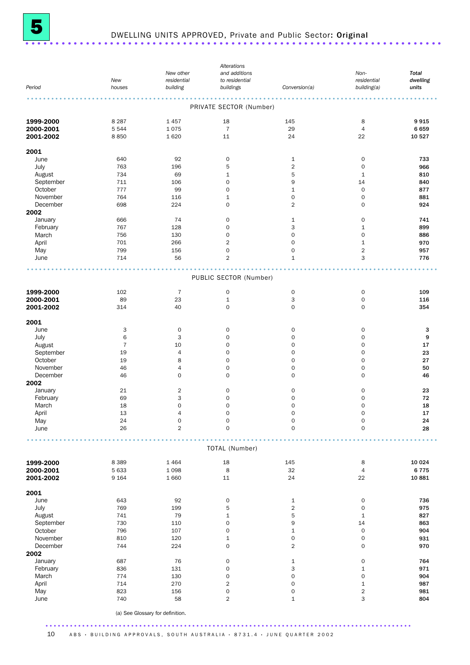

# <sup>5</sup> DWELLING UNITS APPROVED, Private and Public Sector: Original .....................................................................

|           |                |                                  | Alterations                 |                     |                            |                   |
|-----------|----------------|----------------------------------|-----------------------------|---------------------|----------------------------|-------------------|
|           |                | New other                        | and additions               |                     | Non-                       | <b>Total</b>      |
| Period    | New<br>houses  | residential<br>building          | to residential<br>buildings | Conversion(a)       | residential<br>building(a) | dwelling<br>units |
|           |                |                                  |                             |                     |                            |                   |
|           |                |                                  |                             |                     |                            |                   |
|           |                |                                  | PRIVATE SECTOR (Number)     |                     |                            |                   |
| 1999-2000 | 8 2 8 7        | 1457                             | 18                          | 145                 | 8                          | 9915              |
| 2000-2001 | 5 5 4 4        | 1075                             | $\overline{7}$              | 29                  | $\overline{4}$             | 6659              |
| 2001-2002 | 8850           | 1620                             | 11                          | 24                  | 22                         | 10 527            |
|           |                |                                  |                             |                     |                            |                   |
| 2001      |                |                                  |                             |                     |                            |                   |
| June      | 640            | 92                               | $\mathbf 0$                 | $\mathbf{1}$        | $\mathbf 0$                | 733               |
| July      | 763            | 196                              | 5                           | $\sqrt{2}$          | $\mathbf 0$                | 966               |
| August    | 734            | 69                               | 1                           | 5                   | $\mathbf{1}$               | 810               |
| September | 711            | 106                              | $\mathbf 0$                 | 9                   | 14                         | 840               |
| October   | 777            | 99                               | 0                           | $\mathbf 1$         | $\mathbf 0$                | 877               |
| November  | 764            | 116                              | 1                           | 0                   | $\mathbf 0$                | 881               |
| December  | 698            | 224                              | 0                           | $\overline{2}$      | $\mathbf 0$                | 924               |
| 2002      |                |                                  |                             |                     |                            |                   |
| January   | 666            | 74                               | 0                           | $\mathbf{1}$        | $\mathbf 0$                | 741               |
| February  | 767            | 128                              | 0                           | 3                   | 1                          | 899               |
| March     | 756            | 130                              | 0                           | $\mathsf{O}\xspace$ | $\mathbf 0$                | 886               |
| April     | 701            | 266                              | $\overline{2}$              | $\mathbf 0$         | $\mathbf{1}$               | 970               |
| May       | 799            | 156                              | 0                           | $\mathsf{O}\xspace$ | $\overline{\mathbf{c}}$    | 957               |
| June      | 714            | 56                               | $\overline{2}$              | $1\,$               | 3                          | 776               |
|           |                |                                  |                             |                     |                            |                   |
|           |                |                                  | PUBLIC SECTOR (Number)      |                     |                            |                   |
| 1999-2000 | 102            | $\overline{7}$                   | $\mathbf 0$                 | 0                   | $\mathbf 0$                | 109               |
| 2000-2001 | 89             | 23                               | $\mathbf 1$                 | 3                   | $\mathbf 0$                | 116               |
| 2001-2002 | 314            | 40                               | 0                           | $\mathsf{O}\xspace$ | $\mathsf O$                | 354               |
|           |                |                                  |                             |                     |                            |                   |
| 2001      |                |                                  |                             |                     |                            |                   |
| June      | 3              | $\mathsf O$                      | $\mathbf 0$                 | 0                   | $\mathbf 0$                | з                 |
| July      | 6              | 3                                | $\mathbf 0$                 | $\mathbf 0$         | $\mathbf 0$                | 9                 |
| August    | $\overline{7}$ | 10                               | $\mathbf 0$                 | $\mathsf{O}\xspace$ | 0                          | 17                |
| September | 19             | 4                                | $\mathbf 0$                 | $\mathbf 0$         | $\mathbf 0$                | 23                |
| October   | 19             | 8                                | 0                           | $\mathbf 0$         | 0                          | 27                |
| November  | 46             | $\sqrt{4}$                       | $\mathbf 0$                 | 0                   | $\mathbf 0$                | 50                |
| December  | 46             | $\mathbf 0$                      | $\mathbf 0$                 | $\mathbf 0$         | $\mathbf 0$                | 46                |
| 2002      |                |                                  |                             |                     |                            |                   |
| January   | 21             | $\overline{2}$                   | 0                           | 0                   | $\mathsf O$                | 23                |
| February  | 69             | 3                                | $\mathbf 0$                 | $\mathbf 0$         | 0                          | 72                |
| March     | 18             | $\mathbf 0$                      | $\mathbf 0$                 | $\mathbf 0$         | 0                          | 18                |
| April     | 13             | $\overline{4}$                   | $\mathbf 0$                 | $\mathbf 0$         | $\mathbf 0$                | 17                |
| May       | 24             | $\mathsf{O}\xspace$              | $\mathbf 0$                 | 0                   | $\mathsf O$                | 24                |
| June      | 26             | $\overline{2}$                   | $\mathbf 0$                 | $\mathbf 0$         | $\mathbf 0$                | 28                |
|           |                |                                  |                             |                     |                            |                   |
|           |                |                                  | TOTAL (Number)              |                     |                            |                   |
| 1999-2000 | 8 3 8 9        | 1464                             | 18                          | 145                 | 8                          | 10 0 24           |
| 2000-2001 | 5 6 3 3        | 1 0 9 8                          | 8                           | 32                  | $\overline{4}$             | 6775              |
| 2001-2002 | 9 1 6 4        | 1 6 6 0                          | 11                          | 24                  | 22                         | 10 881            |
|           |                |                                  |                             |                     |                            |                   |
| 2001      |                |                                  |                             |                     |                            |                   |
| June      | 643            | 92                               | $\mathbf 0$                 | $\mathbf{1}$        | $\mathbf 0$                | 736               |
| July      | 769            | 199                              | 5                           | $\overline{2}$      | $\mathbf 0$                | 975               |
| August    | 741            | 79                               | $\mathbf 1$                 | 5                   | $\mathbf{1}$               | 827               |
| September | 730            | 110                              | $\mathbf 0$                 | 9                   | 14                         | 863               |
| October   | 796            | 107                              | 0                           | $\mathbf 1$         | $\mathsf{O}$               | 904               |
| November  | 810            | 120                              | $\mathbf{1}$                | $\mathsf{O}\xspace$ | $\mathbf 0$                | 931               |
| December  | 744            | 224                              | $\mathbf 0$                 | $\overline{2}$      | $\mathbf 0$                | 970               |
| 2002      |                |                                  |                             |                     |                            |                   |
| January   | 687            | 76                               | $\mathsf O$                 | $\mathbf{1}$        | $\mathsf O$                | 764               |
| February  | 836            | 131                              | $\mathbf 0$                 | 3                   | $\mathbf{1}$               | 971               |
| March     | 774            | 130                              | $\mathbf 0$                 | $\mathsf{O}\xspace$ | 0                          | 904               |
| April     | 714            | 270                              | $\overline{2}$              | $\mathbf 0$         | $\mathbf 1$                | 987               |
| May       | 823            | 156                              | 0                           | 0                   | $\overline{2}$             | 981               |
| June      | 740            | 58                               | $\overline{2}$              | $\mathbf 1$         | 3                          | 804               |
|           |                |                                  |                             |                     |                            |                   |
|           |                | (a) See Glossary for definition. |                             |                     |                            |                   |
|           |                |                                  |                             |                     |                            |                   |

10 ABS · BUILDING APPROVALS, SOUTH AUSTRALIA · 8731.4 · JUNE QUARTER 2002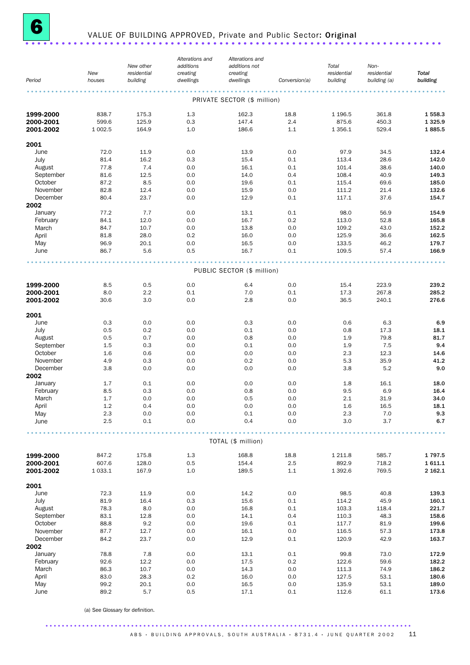

## <sup>6</sup> VALUE OF BUILDING APPROVED, Private and Public Sector: Original .....................................................................

| Period                 | New<br>houses  | New other<br>residential<br>building | Alterations and<br>additions<br>creating<br>dwellings | Alterations and<br>additions not<br>creating<br>dwellings | Conversion(a) | Total<br>residential<br>building | Non-<br>residential<br>building (a) | <b>Total</b><br>building |
|------------------------|----------------|--------------------------------------|-------------------------------------------------------|-----------------------------------------------------------|---------------|----------------------------------|-------------------------------------|--------------------------|
|                        |                |                                      |                                                       | PRIVATE SECTOR (\$ million)                               |               |                                  |                                     |                          |
|                        |                |                                      |                                                       |                                                           |               |                                  |                                     |                          |
| 1999-2000              | 838.7<br>599.6 | 175.3<br>125.9                       | 1.3<br>0.3                                            | 162.3<br>147.4                                            | 18.8<br>2.4   | 1 1 9 6.5<br>875.6               | 361.8<br>450.3                      | 1558.3<br>1 3 2 5 . 9    |
| 2000-2001<br>2001-2002 | 1 0 0 2.5      | 164.9                                | 1.0                                                   | 186.6                                                     | 1.1           | 1 3 5 6.1                        | 529.4                               | 1885.5                   |
| 2001                   |                |                                      |                                                       |                                                           |               |                                  |                                     |                          |
| June                   | 72.0           | 11.9                                 | 0.0                                                   | 13.9                                                      | 0.0           | 97.9                             | 34.5                                | 132.4                    |
| July                   | 81.4           | 16.2                                 | 0.3                                                   | 15.4                                                      | 0.1           | 113.4                            | 28.6                                | 142.0                    |
| August                 | 77.8           | 7.4                                  | 0.0                                                   | 16.1                                                      | 0.1           | 101.4                            | 38.6                                | 140.0                    |
| September              | 81.6           | 12.5                                 | 0.0                                                   | 14.0                                                      | 0.4           | 108.4                            | 40.9                                | 149.3                    |
| October                | 87.2           | 8.5                                  | 0.0                                                   | 19.6                                                      | 0.1           | 115.4                            | 69.6                                | 185.0                    |
| November               | 82.8           | 12.4                                 | 0.0                                                   | 15.9                                                      | 0.0           | 111.2                            | 21.4                                | 132.6                    |
| December<br>2002       | 80.4           | 23.7                                 | 0.0                                                   | 12.9                                                      | 0.1           | 117.1                            | 37.6                                | 154.7                    |
| January                | 77.2           | 7.7                                  | 0.0                                                   | 13.1                                                      | 0.1           | 98.0                             | 56.9                                | 154.9                    |
| February               | 84.1           | 12.0                                 | 0.0                                                   | 16.7                                                      | 0.2           | 113.0                            | 52.8                                | 165.8                    |
| March                  | 84.7           | 10.7                                 | 0.0                                                   | 13.8                                                      | 0.0           | 109.2                            | 43.0                                | 152.2                    |
| April                  | 81.8           | 28.0                                 | 0.2                                                   | 16.0                                                      | 0.0           | 125.9                            | 36.6                                | 162.5                    |
| May                    | 96.9           | 20.1                                 | 0.0                                                   | 16.5                                                      | 0.0           | 133.5                            | 46.2                                | 179.7                    |
| June                   | 86.7           | 5.6                                  | 0.5                                                   | 16.7                                                      | 0.1           | 109.5                            | 57.4                                | 166.9                    |
|                        |                |                                      |                                                       | PUBLIC SECTOR (\$ million)                                |               |                                  |                                     |                          |
| 1999-2000              | 8.5            | 0.5                                  | 0.0                                                   | 6.4                                                       | 0.0           | 15.4                             | 223.9                               | 239.2                    |
| 2000-2001              | 8.0            | 2.2                                  | 0.1                                                   | 7.0                                                       | 0.1           | 17.3                             | 267.8                               | 285.2                    |
| 2001-2002              | 30.6           | 3.0                                  | 0.0                                                   | 2.8                                                       | 0.0           | 36.5                             | 240.1                               | 276.6                    |
| 2001                   |                |                                      |                                                       |                                                           |               |                                  |                                     |                          |
| June                   | 0.3            | 0.0                                  | 0.0                                                   | 0.3                                                       | 0.0           | 0.6                              | 6.3                                 | 6.9                      |
| July                   | 0.5            | 0.2                                  | 0.0                                                   | 0.1                                                       | 0.0           | 0.8                              | 17.3                                | 18.1                     |
| August                 | 0.5            | 0.7                                  | 0.0                                                   | 0.8                                                       | 0.0           | 1.9                              | 79.8                                | 81.7                     |
| September<br>October   | 1.5<br>1.6     | 0.3                                  | 0.0<br>0.0                                            | 0.1<br>0.0                                                | 0.0<br>0.0    | 1.9<br>2.3                       | 7.5<br>12.3                         | 9.4<br>14.6              |
| November               | 4.9            | 0.6<br>0.3                           | 0.0                                                   | 0.2                                                       | 0.0           | 5.3                              | 35.9                                | 41.2                     |
| December               | 3.8            | 0.0                                  | 0.0                                                   | 0.0                                                       | 0.0           | 3.8                              | 5.2                                 | 9.0                      |
| 2002                   |                |                                      |                                                       |                                                           |               |                                  |                                     |                          |
| January                | 1.7            | 0.1                                  | 0.0                                                   | 0.0                                                       | 0.0           | 1.8                              | 16.1                                | 18.0                     |
| February               | 8.5            | 0.3                                  | 0.0                                                   | 0.8                                                       | 0.0           | 9.5                              | 6.9                                 | 16.4                     |
| March                  | 1.7            | 0.0                                  | 0.0                                                   | 0.5                                                       | 0.0           | 2.1                              | 31.9                                | 34.0                     |
| April                  | 1.2            | 0.4                                  | 0.0                                                   | 0.0                                                       | 0.0           | 1.6                              | 16.5                                | 18.1                     |
| May<br>June            | 2.3<br>$2.5\,$ | 0.0<br>0.1                           | 0.0<br>0.0                                            | $0.1\,$<br>0.4                                            | 0.0<br>0.0    | 2.3<br>3.0                       | $7.0$<br>3.7                        | 9.3<br>6.7               |
|                        |                |                                      |                                                       |                                                           |               |                                  |                                     |                          |
|                        |                |                                      |                                                       | TOTAL (\$ million)                                        |               |                                  |                                     |                          |
| 1999-2000              | 847.2          | 175.8                                | 1.3                                                   | 168.8                                                     | 18.8          | 1 2 1 1.8                        | 585.7                               | 1797.5                   |
| 2000-2001              | 607.6          | 128.0                                | 0.5                                                   | 154.4                                                     | 2.5           | 892.9                            | 718.2                               | 1611.1                   |
| 2001-2002              | 1 0 3 3.1      | 167.9                                | 1.0                                                   | 189.5                                                     | $1.1\,$       | 1 3 9 2.6                        | 769.5                               | 2 162.1                  |
| 2001                   |                |                                      |                                                       |                                                           |               |                                  |                                     |                          |
| June                   | 72.3           | 11.9                                 | 0.0                                                   | 14.2                                                      | 0.0           | 98.5                             | 40.8                                | 139.3                    |
| July                   | 81.9           | 16.4                                 | 0.3                                                   | 15.6                                                      | 0.1           | 114.2                            | 45.9                                | 160.1                    |
| August<br>September    | 78.3<br>83.1   | 8.0<br>12.8                          | 0.0<br>0.0                                            | 16.8<br>14.1                                              | 0.1<br>0.4    | 103.3<br>110.3                   | 118.4<br>48.3                       | 221.7<br>158.6           |
| October                | 88.8           | 9.2                                  | 0.0                                                   | 19.6                                                      | 0.1           | 117.7                            | 81.9                                | 199.6                    |
| November               | 87.7           | 12.7                                 | 0.0                                                   | 16.1                                                      | 0.0           | 116.5                            | 57.3                                | 173.8                    |
| December               | 84.2           | 23.7                                 | 0.0                                                   | 12.9                                                      | 0.1           | 120.9                            | 42.9                                | 163.7                    |
| 2002                   |                |                                      |                                                       |                                                           |               |                                  |                                     |                          |
| January                | 78.8           | 7.8                                  | 0.0                                                   | 13.1                                                      | 0.1           | 99.8                             | 73.0                                | 172.9                    |
| February               | 92.6           | 12.2                                 | 0.0                                                   | 17.5                                                      | 0.2           | 122.6                            | 59.6                                | 182.2                    |
| March<br>April         | 86.3<br>83.0   | 10.7<br>28.3                         | 0.0<br>0.2                                            | 14.3<br>16.0                                              | 0.0<br>0.0    | 111.3<br>127.5                   | 74.9<br>53.1                        | 186.2<br>180.6           |
| May                    | 99.2           | 20.1                                 | 0.0                                                   | 16.5                                                      | 0.0           | 135.9                            | 53.1                                | 189.0                    |
| June                   | 89.2           | 5.7                                  | 0.5                                                   | 17.1                                                      | 0.1           | 112.6                            | 61.1                                | 173.6                    |

(a) See Glossary for definition.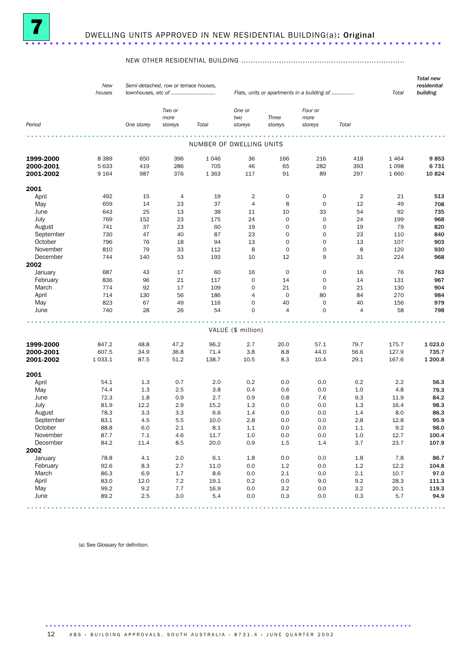

#### NEW OTHER RESIDENTIAL BUILDING .....................................................................

|             | New<br>houses |            | Semi-detached, row or terrace houses,<br>townhouses, etc of |                          |                          |                     | Flats, units or apartments in a building of |                | Total       | <b>Total new</b><br>residential<br>building |
|-------------|---------------|------------|-------------------------------------------------------------|--------------------------|--------------------------|---------------------|---------------------------------------------|----------------|-------------|---------------------------------------------|
| Period      |               | One storey | Two or<br>more<br>storeys                                   | Total                    | One or<br>two<br>storeys | Three<br>storeys    | Four or<br>more<br>storeys                  | Total          |             |                                             |
|             |               |            |                                                             |                          |                          |                     |                                             |                |             |                                             |
|             |               |            |                                                             | NUMBER OF DWELLING UNITS |                          |                     |                                             |                |             |                                             |
| 1999-2000   | 8 3 8 9       | 650        | 396                                                         | 1 0 4 6                  | 36                       | 166                 | 216                                         | 418            | 1464        | 9853                                        |
| 2000-2001   | 5 6 3 3       | 419        | 286                                                         | 705                      | 46                       | 65                  | 282                                         | 393            | 1 0 9 8     | 6731                                        |
| 2001-2002   | 9 1 6 4       | 987        | 376                                                         | 1 3 6 3                  | 117                      | 91                  | 89                                          | 297            | 1 6 6 0     | 10824                                       |
| 2001        |               |            |                                                             |                          |                          |                     |                                             |                |             |                                             |
| April       | 492           | 15         | 4                                                           | 19                       | $\overline{2}$           | 0                   | 0                                           | $\overline{2}$ | 21          | 513                                         |
| May         | 659           | 14         | 23                                                          | 37                       | 4                        | 8                   | 0                                           | 12             | 49          | 708                                         |
| June        | 643           | 25         | 13                                                          | 38                       | 11                       | 10                  | 33                                          | 54             | 92          | 735                                         |
| July        | 769           | 152        | 23                                                          | 175                      | 24                       | $\mathsf{O}\xspace$ | 0                                           | 24             | 199         | 968                                         |
| August      | 741           | 37         | 23                                                          | 60                       | 19                       | 0                   | 0                                           | 19             | 79          | 820                                         |
| September   | 730           | 47         | 40                                                          | 87                       | 23                       | 0                   | 0                                           | 23             | 110         | 840                                         |
| October     | 796           | 76         | 18                                                          | 94                       | 13                       | $\mathbf 0$         | 0                                           | 13             | 107         | 903                                         |
| November    |               | 79         | 33                                                          |                          | 8                        | $\mathbf 0$         | $\mathsf{O}\xspace$                         | 8              |             | 930                                         |
|             | 810<br>744    | 140        | 53                                                          | 112<br>193               |                          | 12                  | 9                                           |                | 120         |                                             |
| December    |               |            |                                                             |                          | 10                       |                     |                                             | 31             | 224         | 968                                         |
| 2002        |               |            |                                                             |                          |                          |                     |                                             |                |             |                                             |
| January     | 687           | 43         | 17                                                          | 60                       | 16                       | 0                   | 0                                           | 16             | 76          | 763                                         |
| February    | 836           | 96         | 21                                                          | 117                      | $\mathsf{O}\xspace$      | 14                  | 0                                           | 14             | 131         | 967                                         |
| March       | 774           | 92         | 17                                                          | 109                      | $\mathbf 0$              | 21                  | $\mathsf{O}\xspace$                         | 21             | 130         | 904                                         |
| April       | 714           | 130        | 56                                                          | 186                      | 4                        | $\mathbf 0$         | 80                                          | 84             | 270         | 984                                         |
| May         | 823           | 67         | 49                                                          | 116                      | $\mathbf 0$              | 40                  | $\mathbf 0$                                 | 40             | 156         | 979                                         |
| June        | 740           | 28         | 26                                                          | 54                       | $\mathbf 0$              | $\overline{4}$      | $\mathbf 0$                                 | $\overline{4}$ | 58          | 798                                         |
|             |               |            |                                                             |                          | VALUE (\$ million)       |                     |                                             |                |             |                                             |
|             |               |            |                                                             |                          |                          |                     |                                             |                |             |                                             |
| 1999-2000   | 847.2         | 48.8       | 47.2                                                        | 96.2                     | 2.7                      | 20.0                | 57.1                                        | 79.7           | 175.7       | 1 0 2 3 .0                                  |
| 2000-2001   | 607.5         | 34.9       | 36.8                                                        | 71.4                     | 3.8                      | 8.8                 | 44.0                                        | 56.6           | 127.9       | 735.7                                       |
| 2001-2002   | 1 0 3 3.1     | 87.5       | 51.2                                                        | 138.7                    | 10.5                     | 8.3                 | 10.4                                        | 29.1           | 167.6       | 1 200.8                                     |
| 2001        |               |            |                                                             |                          |                          |                     |                                             |                |             |                                             |
| April       | 54.1          | 1.3        | 0.7                                                         | 2.0                      | 0.2                      | 0.0                 | 0.0                                         | 0.2            | 2.2         | 56.3                                        |
| May         | 74.4          | 1.3        | 2.5                                                         | 3.8                      | 0.4                      | 0.6                 | 0.0                                         | 1.0            | 4.8         | 79.3                                        |
| June        | 72.3          | 1.8        | 0.9                                                         | 2.7                      | 0.9                      | 0.8                 | 7.6                                         | 9.3            | 11.9        | 84.2                                        |
| July        | 81.9          | 12.2       | 2.9                                                         | 15.2                     | 1.3                      | 0.0                 | 0.0                                         | 1.3            | 16.4        | 98.3                                        |
| August      | 78.3          | 3.3        | 3.3                                                         | 6.6                      | 1.4                      | 0.0                 | 0.0                                         | 1.4            | 8.0         | 86.3                                        |
| September   | 83.1          | 4.5        | 5.5                                                         | 10.0                     | 2.8                      | 0.0                 | 0.0                                         | 2.8            | 12.8        | 95.9                                        |
| October     | 88.8          | 6.0        | 2.1                                                         | 8.1                      | $1.1\,$                  | 0.0                 | 0.0                                         | 1.1            | 9.2         | 98.0                                        |
| November    | 87.7          | $7.1\,$    | $4.6\,$                                                     | 11.7                     | $1.0\,$                  | $0.0\,$             | $0.0\,$                                     | $1.0\,$        | 12.7        | 100.4                                       |
| December    | 84.2          | 11.4       | 8.5                                                         | 20.0                     | 0.9                      | 1.5                 | 1.4                                         | 3.7            | 23.7        | 107.9                                       |
|             |               |            |                                                             |                          |                          |                     |                                             |                |             |                                             |
| 2002        |               |            |                                                             |                          |                          |                     |                                             |                |             |                                             |
| January     | 78.8          | 4.1        | 2.0                                                         | $6.1\,$                  | $1.8\,$                  | 0.0                 | 0.0                                         | $1.8\,$        | 7.8         | 86.7                                        |
| February    | 92.6          | 8.3        | 2.7                                                         | 11.0                     | 0.0                      | 1.2                 | 0.0                                         | $1.2\,$        | 12.2        | 104.8                                       |
| March       | 86.3          | 6.9        | $1.7\,$                                                     | 8.6                      | 0.0                      | 2.1                 | 0.0                                         | 2.1            | 10.7        | 97.0                                        |
| April       | 83.0          | 12.0       | 7.2                                                         | 19.1                     | 0.2                      | 0.0                 | 9.0                                         | 9.2            | 28.3        | 111.3                                       |
| May<br>June | 99.2          | 9.2        | 7.7                                                         | 16.9                     | 0.0<br>0.0               | 3.2<br>0.3          | 0.0<br>0.0                                  | 3.2<br>0.3     | 20.1<br>5.7 | 119.3                                       |
|             | 89.2          | 2.5        | 3.0                                                         | 5.4                      |                          |                     |                                             |                |             | 94.9                                        |

(a) See Glossary for definition.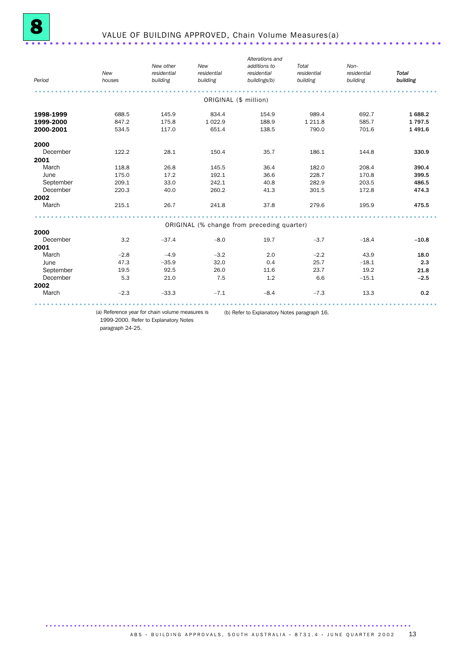| Period    | New<br>houses | New other<br>residential<br>building | New<br>residential<br>building | Alterations and<br>additions to<br>residential<br>buildings(b) | Total<br>residential<br>building | Non-<br>residential<br>building | <b>Total</b><br>building |
|-----------|---------------|--------------------------------------|--------------------------------|----------------------------------------------------------------|----------------------------------|---------------------------------|--------------------------|
|           |               |                                      | ORIGINAL (\$ million)          |                                                                |                                  |                                 |                          |
| 1998-1999 | 688.5         | 145.9                                | 834.4                          | 154.9                                                          | 989.4                            | 692.7                           | 1688.2                   |
| 1999-2000 | 847.2         | 175.8                                | 1 0 2 2.9                      | 188.9                                                          | 1 2 1 1.8                        | 585.7                           | 1797.5                   |
| 2000-2001 | 534.5         | 117.0                                | 651.4                          | 138.5                                                          | 790.0                            | 701.6                           | 1 4 9 1.6                |
| 2000      |               |                                      |                                |                                                                |                                  |                                 |                          |
| December  | 122.2         | 28.1                                 | 150.4                          | 35.7                                                           | 186.1                            | 144.8                           | 330.9                    |
| 2001      |               |                                      |                                |                                                                |                                  |                                 |                          |
| March     | 118.8         | 26.8                                 | 145.5                          | 36.4                                                           | 182.0                            | 208.4                           | 390.4                    |
| June      | 175.0         | 17.2                                 | 192.1                          | 36.6                                                           | 228.7                            | 170.8                           | 399.5                    |
| September | 209.1         | 33.0                                 | 242.1                          | 40.8                                                           | 282.9                            | 203.5                           | 486.5                    |
| December  | 220.3         | 40.0                                 | 260.2                          | 41.3                                                           | 301.5                            | 172.8                           | 474.3                    |
| 2002      |               |                                      |                                |                                                                |                                  |                                 |                          |
| March     | 215.1         | 26.7                                 | 241.8                          | 37.8                                                           | 279.6                            | 195.9                           | 475.5                    |
|           |               |                                      |                                |                                                                |                                  |                                 |                          |
|           |               |                                      |                                | ORIGINAL (% change from preceding quarter)                     |                                  |                                 |                          |
| 2000      |               |                                      |                                |                                                                |                                  |                                 |                          |
| December  | 3.2           | $-37.4$                              | $-8.0$                         | 19.7                                                           | $-3.7$                           | $-18.4$                         | $-10.8$                  |
| 2001      |               |                                      |                                |                                                                |                                  |                                 |                          |
| March     | $-2.8$        | $-4.9$                               | $-3.2$                         | 2.0                                                            | $-2.2$                           | 43.9                            | 18.0                     |
| June      | 47.3          | $-35.9$                              | 32.0                           | 0.4                                                            | 25.7                             | $-18.1$                         | 2.3                      |
| September | 19.5          | 92.5                                 | 26.0                           | 11.6                                                           | 23.7                             | 19.2                            | 21.8                     |
| December  | 5.3           | 21.0                                 | 7.5                            | 1.2                                                            | 6.6                              | $-15.1$                         | $-2.5$                   |
| 2002      |               |                                      |                                |                                                                |                                  |                                 |                          |
| March     | $-2.3$        | $-33.3$                              | $-7.1$                         | $-8.4$                                                         | $-7.3$                           | 13.3                            | 0.2                      |
|           |               |                                      |                                |                                                                |                                  |                                 |                          |

(a) Reference year for chain volume measures is (b) Refer to Explanatory Notes paragraph 16.

1999-2000. Refer to Explanatory Notes

paragraph 24-25.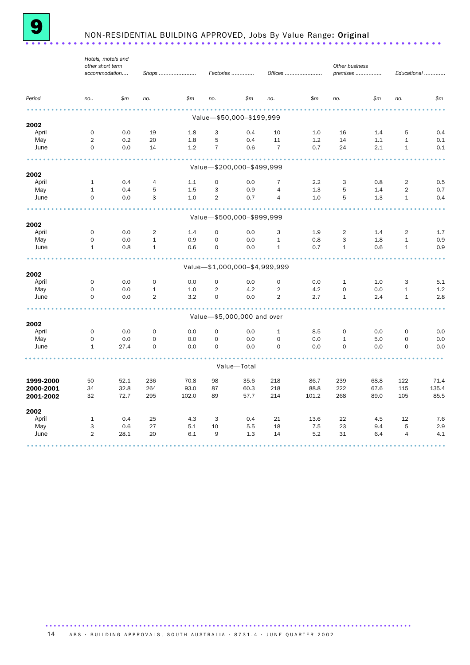

# <sup>9</sup> NON-RESIDENTIAL BUILDING APPROVED, Jobs By Value Range: Original .....................................................................

|             |                     | Hotels, motels and<br>other short term |                |            |                |                               |                |            | Other business      |            |                |            |
|-------------|---------------------|----------------------------------------|----------------|------------|----------------|-------------------------------|----------------|------------|---------------------|------------|----------------|------------|
|             |                     | accommodation                          |                | Shops      |                | Factories                     |                | Offices    | premises            |            | Educational    |            |
| Period      | no                  | \$m\$                                  | no.            | \$m\$      | no.            | \$m\$                         | no.            | \$m\$      | no.                 | \$m\$      | no.            | \$m        |
|             |                     |                                        |                |            |                | Value-\$50,000-\$199,999      |                |            |                     |            |                |            |
| 2002        |                     |                                        |                |            |                |                               |                |            |                     |            |                |            |
| April       | $\mathsf{O}\xspace$ | 0.0                                    | 19             | 1.8        | 3              | 0.4                           | 10             | 1.0        | 16                  | 1.4        | 5              | 0.4        |
| May         | $\overline{2}$      | 0.2                                    | 20             | 1.8        | 5              | 0.4                           | 11             | 1.2        | 14                  | 1.1        | $\mathbf{1}$   | 0.1        |
| June        | $\mathbf 0$         | 0.0                                    | 14             | 1.2        | $\overline{7}$ | 0.6                           | $\overline{7}$ | 0.7        | 24                  | 2.1        | $\mathbf{1}$   | 0.1        |
|             |                     |                                        |                |            |                | Value-\$200,000-\$499,999     |                |            |                     |            |                |            |
| 2002        |                     |                                        |                |            |                |                               |                |            |                     |            |                |            |
| April       | $\mathbf{1}$        | 0.4                                    | 4              | 1.1        | $\mathbf 0$    | 0.0                           | 7              | 2.2        | 3                   | 0.8        | 2              | 0.5        |
| May         | $1\,$               | 0.4                                    | 5              | 1.5        | 3              | 0.9                           | $\sqrt{4}$     | 1.3        | 5                   | 1.4        | $\overline{2}$ | 0.7        |
| June        | 0                   | 0.0                                    | 3              | 1.0        | $\overline{2}$ | 0.7                           | 4              | 1.0        | 5                   | 1.3        | $\mathbf{1}$   | 0.4        |
|             |                     |                                        |                |            |                | Value-\$500,000-\$999,999     |                |            |                     |            |                |            |
| 2002        |                     |                                        |                |            |                |                               |                |            |                     |            |                |            |
| April       | $\mathbf 0$         | 0.0                                    | $\overline{2}$ | 1.4        | $\mathbf 0$    | 0.0                           | 3              | 1.9        | 2                   | 1.4        | $\overline{2}$ | 1.7        |
| May         | $\mathsf{O}\xspace$ | 0.0                                    | $\mathbf 1$    | 0.9        | $\mathbf 0$    | 0.0                           | $\mathbf{1}$   | 0.8        | 3                   | 1.8        | $\mathbf 1$    | 0.9        |
| June        | $\mathbf{1}$        | 0.8                                    | $\mathbf{1}$   | 0.6        | $\mathbf 0$    | 0.0                           | $\mathbf{1}$   | 0.7        | $\mathbf{1}$        | 0.6        | $\mathbf{1}$   | 0.9        |
|             |                     |                                        |                |            |                | Value-\$1,000,000-\$4,999,999 |                |            |                     |            |                |            |
| 2002        |                     |                                        |                |            |                |                               |                |            |                     |            |                |            |
| April       | 0                   | 0.0                                    | $\mathsf O$    | 0.0        | $\mathbf 0$    | 0.0                           | $\mathsf{O}$   | 0.0        | $\mathbf{1}$        | 1.0        | 3              | 5.1        |
| May         | $\mathsf{O}\xspace$ | 0.0                                    | $\mathbf{1}$   | 1.0        | $\overline{2}$ | 4.2                           | $\overline{2}$ | 4.2        | $\mathsf{O}$        | 0.0        | $\mathbf{1}$   | 1.2        |
| June        | $\mathsf{O}\xspace$ | 0.0                                    | $\overline{2}$ | 3.2        | $\mathbf 0$    | 0.0                           | $\overline{2}$ | 2.7        | $\mathbf{1}$        | 2.4        | $\mathbf 1$    | 2.8        |
|             |                     |                                        |                |            |                | Value-\$5,000,000 and over    |                |            |                     |            |                |            |
| 2002        |                     |                                        |                |            |                |                               |                |            |                     |            |                |            |
| April       | $\mathsf{O}\xspace$ | 0.0                                    | $\mathsf O$    | 0.0        | $\mathbf 0$    | 0.0                           | $\mathbf{1}$   | 8.5        | $\mathsf{O}\xspace$ | 0.0        | $\mathbf 0$    | 0.0        |
| May         | $\mathbf 0$         | 0.0                                    | $\mathbf 0$    | 0.0        | $\mathbf 0$    | 0.0                           | 0              | 0.0        | $\mathbf{1}$        | 5.0        | $\mathbf 0$    | 0.0        |
| June        | $\mathbf{1}$        | 27.4                                   | $\mathbf 0$    | 0.0        | $\mathbf 0$    | 0.0                           | 0              | 0.0        | $\mathbf 0$         | 0.0        | $\mathbf 0$    | 0.0        |
|             |                     |                                        |                |            |                | Value-Total                   |                |            |                     |            |                |            |
|             |                     |                                        |                |            |                |                               |                |            |                     |            |                |            |
| 1999-2000   | 50                  | 52.1                                   | 236            | 70.8       | 98             | 35.6                          | 218            | 86.7       | 239                 | 68.8       | 122            | 71.4       |
| 2000-2001   | 34                  | 32.8                                   | 264            | 93.0       | 87             | 60.3                          | 218            | 88.8       | 222                 | 67.6       | 115            | 135.4      |
| 2001-2002   | 32                  | 72.7                                   | 295            | 102.0      | 89             | 57.7                          | 214            | 101.2      | 268                 | 89.0       | 105            | 85.5       |
| 2002        |                     |                                        |                |            |                |                               |                |            |                     |            |                |            |
| April       | $\mathbf{1}$        | 0.4                                    | 25             | 4.3        | 3              | 0.4                           | 21             | 13.6       | 22                  | 4.5        | 12<br>5        | 7.6        |
| May<br>June | 3<br>$\overline{2}$ | 0.6<br>28.1                            | 27<br>20       | 5.1<br>6.1 | 10<br>9        | 5.5<br>1.3                    | 18<br>14       | 7.5<br>5.2 | 23<br>31            | 9.4<br>6.4 | $\overline{4}$ | 2.9<br>4.1 |
|             |                     |                                        |                |            |                |                               |                |            |                     |            |                |            |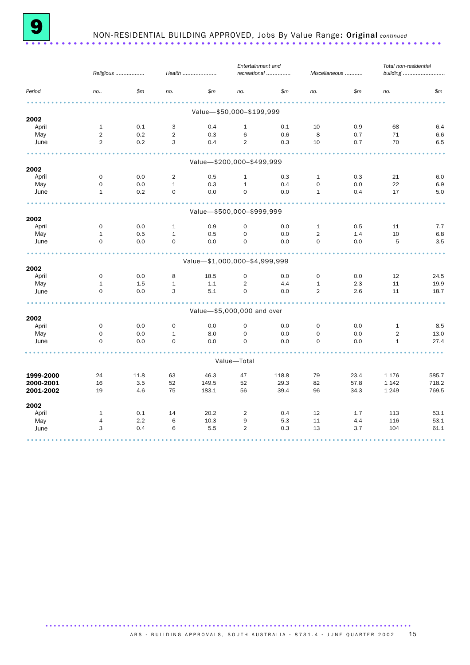

## 9 NON-RESIDENTIAL BUILDING APPROVED, Jobs By Value Range: Original *continued* .....................................................................

|           |                | Religious |              | Health                        | Entertainment and | recreational |                | Miscellaneous | Total non-residential | building |
|-----------|----------------|-----------|--------------|-------------------------------|-------------------|--------------|----------------|---------------|-----------------------|----------|
| Period    | no.            | \$m\$     | no.          | \$m\$                         | no.               | \$m\$        | no.            | \$m\$         | no.                   | \$m\$    |
|           |                |           |              | Value-\$50,000-\$199,999      |                   |              |                |               |                       |          |
| 2002      |                |           |              |                               |                   |              |                |               |                       |          |
| April     | $\mathbf{1}$   | 0.1       | 3            | 0.4                           | $\mathbf{1}$      | 0.1          | 10             | 0.9           | 68                    | 6.4      |
| May       | $\overline{2}$ | 0.2       | 2            | 0.3                           | 6                 | 0.6          | 8              | 0.7           | 71                    | 6.6      |
| June      | 2              | 0.2       | 3            | 0.4                           | $\overline{2}$    | 0.3          | 10             | 0.7           | 70                    | 6.5      |
|           |                |           |              | Value-\$200,000-\$499,999     |                   |              |                |               |                       |          |
| 2002      |                |           |              |                               |                   |              |                |               |                       |          |
| April     | $\mathbf 0$    | 0.0       | 2            | 0.5                           | $\mathbf{1}$      | 0.3          | $\mathbf{1}$   | 0.3           | 21                    | 6.0      |
| May       | $\mathbf 0$    | 0.0       | $\mathbf{1}$ | 0.3                           | $\mathbf{1}$      | 0.4          | 0              | 0.0           | 22                    | 6.9      |
| June      | $\mathbf{1}$   | 0.2       | 0            | 0.0                           | $\mathsf{O}$      | 0.0          | $\mathbf{1}$   | 0.4           | 17                    | 5.0      |
|           |                |           |              |                               |                   |              |                |               |                       |          |
| 2002      |                |           |              | Value-\$500,000-\$999,999     |                   |              |                |               |                       |          |
| April     | $\mathbf 0$    | 0.0       | $\mathbf{1}$ | 0.9                           | 0                 | 0.0          | $\mathbf{1}$   | 0.5           | 11                    | 7.7      |
| May       | $\mathbf{1}$   | 0.5       | $\mathbf{1}$ | 0.5                           | $\mathsf{O}$      | 0.0          | $\overline{2}$ | 1.4           | 10                    | 6.8      |
| June      | $\mathbf 0$    | 0.0       | $\mathbf 0$  | 0.0                           | $\mathbf 0$       | 0.0          | 0              | 0.0           | 5                     | 3.5      |
|           |                |           |              |                               |                   |              |                |               |                       |          |
| 2002      |                |           |              | Value-\$1,000,000-\$4,999,999 |                   |              |                |               |                       |          |
| April     | $\mathbf 0$    | 0.0       | 8            | 18.5                          | 0                 | 0.0          | $\mathbf 0$    | 0.0           | 12                    | 24.5     |
| May       | $\mathbf{1}$   | 1.5       | $\mathbf{1}$ | 1.1                           | 2                 | 4.4          | $\mathbf{1}$   | 2.3           | 11                    | 19.9     |
| June      | $\mathbf 0$    | 0.0       | 3            | 5.1                           | $\mathbf 0$       | 0.0          | $\overline{2}$ | 2.6           | 11                    | 18.7     |
|           |                |           |              | Value-\$5,000,000 and over    |                   |              |                |               |                       |          |
| 2002      |                |           |              |                               |                   |              |                |               |                       |          |
| April     | $\mathbf 0$    | 0.0       | $\mathbf 0$  | 0.0                           | $\mathbf 0$       | 0.0          | $\mathbf 0$    | 0.0           | $\mathbf{1}$          | 8.5      |
| May       | $\mathbf 0$    | 0.0       | $\mathbf{1}$ | 8.0                           | 0                 | 0.0          | 0              | 0.0           | 2                     | 13.0     |
| June      | $\mathbf 0$    | 0.0       | $\mathbf 0$  | 0.0                           | $\mathbf 0$       | 0.0          | $\mathbf 0$    | 0.0           | $\mathbf{1}$          | 27.4     |
|           |                |           |              |                               | Value-Total       |              |                |               |                       |          |
| 1999-2000 | 24             | 11.8      | 63           | 46.3                          | 47                | 118.8        | 79             | 23.4          | 1 1 7 6               | 585.7    |
| 2000-2001 | 16             | 3.5       | 52           | 149.5                         | 52                | 29.3         | 82             | 57.8          | 1 1 4 2               | 718.2    |
| 2001-2002 | 19             | 4.6       | 75           | 183.1                         | 56                | 39.4         | 96             | 34.3          | 1 2 4 9               | 769.5    |
| 2002      |                |           |              |                               |                   |              |                |               |                       |          |
| April     | $\mathbf{1}$   | 0.1       | 14           | 20.2                          | $\overline{2}$    | 0.4          | 12             | 1.7           | 113                   | 53.1     |
| May       | $\overline{4}$ | 2.2       | 6            | 10.3                          | 9                 | 5.3          | 11             | 4.4           | 116                   | 53.1     |
| June      | 3              | 0.4       | 6            | 5.5                           | $\overline{2}$    | 0.3          | 13             | 3.7           | 104                   | 61.1     |
|           |                |           |              |                               |                   |              |                |               |                       |          |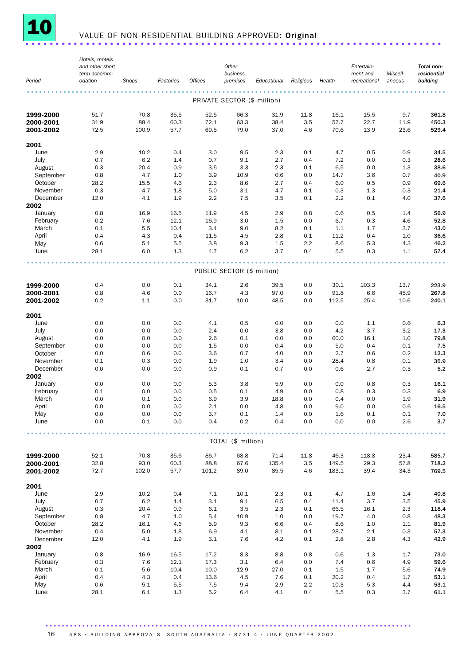

# 10 VALUE OF NON-RESIDENTIAL BUILDING APPROVED: Original .......................

|              | Hotels, motels                  |       |           |                |                             |             |           |         |                        |          |                           |
|--------------|---------------------------------|-------|-----------|----------------|-----------------------------|-------------|-----------|---------|------------------------|----------|---------------------------|
|              | and other short<br>term accomm- |       |           |                | Other<br>business           |             |           |         | Entertain-<br>ment and | Miscell- | Total non-<br>residential |
| Period       | odation                         | Shops | Factories | <b>Offices</b> | premises                    | Educational | Religious | Health  | recreational           | aneous   | building                  |
|              |                                 |       |           |                |                             |             |           |         |                        |          |                           |
|              |                                 |       |           |                | PRIVATE SECTOR (\$ million) |             |           |         |                        |          |                           |
| 1999-2000    | 51.7                            | 70.8  | 35.5      | 52.5           | 66.3                        | 31.9        | 11.8      | 16.1    | 15.5                   | 9.7      | 361.8                     |
| 2000-2001    | 31.9                            | 88.4  | 60.3      | 72.1           | 63.3                        | 38.4        | 3.5       | 57.7    | 22.7                   | 11.9     | 450.3                     |
| 2001-2002    | 72.5                            | 100.9 | 57.7      | 69.5           | 79.0                        | 37.0        | 4.6       | 70.6    | 13.9                   | 23.6     | 529.4                     |
|              |                                 |       |           |                |                             |             |           |         |                        |          |                           |
| 2001<br>June | 2.9                             | 10.2  | 0.4       | 3.0            | 9.5                         | 2.3         | 0.1       | 4.7     | 0.5                    | 0.9      | 34.5                      |
| July         | 0.7                             | 6.2   | 1.4       | 0.7            | 9.1                         | 2.7         | 0.4       | 7.2     | 0.0                    | 0.3      | 28.6                      |
| August       | 0.3                             | 20.4  | 0.9       | 3.5            | 3.3                         | 2.3         | 0.1       | 6.5     | 0.0                    | 1.3      | 38.6                      |
| September    | 0.8                             | 4.7   | 1.0       | 3.9            | 10.9                        | 0.6         | 0.0       | 14.7    | 3.6                    | 0.7      | 40.9                      |
| October      | 28.2                            | 15.5  | 4.6       | 2.3            | 8.6                         | 2.7         | 0.4       | 6.0     | 0.5                    | 0.9      | 69.6                      |
| November     | 0.3                             | 4.7   | 1.8       | 5.0            | 3.1                         | 4.7         | 0.1       | 0.3     | 1.3                    | 0.3      | 21.4                      |
| December     | 12.0                            | 4.1   | 1.9       | 2.2            | 7.5                         | 3.5         | 0.1       | 2.2     | 0.1                    | 4.0      | 37.6                      |
| 2002         |                                 |       |           |                |                             |             |           |         |                        |          |                           |
| January      | 0.8                             | 16.9  | 16.5      | 11.9           | 4.5                         | 2.9         | 0.8       | 0.6     | 0.5                    | 1.4      | 56.9                      |
| February     | 0.2                             | 7.6   | 12.1      | 16.9           | 3.0                         | 1.5         | 0.0       | 6.7     | 0.3                    | 4.6      | 52.8                      |
| March        | 0.1                             | 5.5   | 10.4      | 3.1            | 9.0                         | 8.2         | 0.1       | 1.1     | 1.7                    | 3.7      | 43.0                      |
| April        | 0.4                             | 4.3   | 0.4       | 11.5           | 4.5                         | 2.8         | 0.1       | 11.2    | 0.4                    | 1.0      | 36.6                      |
| May          | 0.6                             | 5.1   | 5.5       | 3.8            | 9.3                         | 1.5         | 2.2       | 8.6     | 5.3                    | 4.3      | 46.2                      |
| June         | 28.1                            | 6.0   | 1.3       | 4.7            | 6.2                         | 3.7         | 0.4       | 5.5     | 0.3                    | 1.1      | 57.4                      |
|              |                                 |       |           |                |                             |             |           |         |                        |          |                           |
|              |                                 |       |           |                | PUBLIC SECTOR (\$ million)  |             |           |         |                        |          |                           |
|              |                                 |       |           |                |                             |             |           |         |                        |          |                           |
| 1999-2000    | 0.4                             | 0.0   | 0.1       | 34.1           | 2.6                         | 39.5        | 0.0       | 30.1    | 103.3                  | 13.7     | 223.9                     |
| 2000-2001    | 0.8                             | 4.6   | 0.0       | 16.7           | 4.3                         | 97.0        | 0.0       | 91.8    | 6.6                    | 45.9     | 267.8                     |
| 2001-2002    | 0.2                             | 1.1   | 0.0       | 31.7           | 10.0                        | 48.5        | 0.0       | 112.5   | 25.4                   | 10.6     | 240.1                     |
| 2001         |                                 |       |           |                |                             |             |           |         |                        |          |                           |
| June         | 0.0                             | 0.0   | 0.0       | 4.1            | 0.5                         | 0.0         | 0.0       | 0.0     | 1.1                    | 0.6      | 6.3                       |
| July         | 0.0                             | 0.0   | 0.0       | 2.4            | 0.0                         | 3.8         | 0.0       | 4.2     | 3.7                    | 3.2      | 17.3                      |
| August       | 0.0                             | 0.0   | 0.0       | 2.6            | 0.1                         | 0.0         | 0.0       | 60.0    | 16.1                   | 1.0      | 79.8                      |
| September    | 0.0                             | 0.0   | 0.0       | 1.5            | 0.0                         | 0.4         | 0.0       | 5.0     | 0.4                    | $0.1\,$  | 7.5                       |
| October      | 0.0                             | 0.6   | 0.0       | 3.6            | 0.7                         | 4.0         | 0.0       | 2.7     | 0.6                    | 0.2      | 12.3                      |
| November     | 0.1                             | 0.3   | 0.0       | 1.9            | 1.0                         | 3.4         | 0.0       | 28.4    | 0.8                    | 0.1      | 35.9                      |
| December     | 0.0                             | 0.0   | 0.0       | 0.9            | 0.1                         | 0.7         | 0.0       | 0.6     | 2.7                    | 0.3      | 5.2                       |
| 2002         |                                 |       |           |                |                             |             |           |         |                        |          |                           |
| January      | 0.0                             | 0.0   | 0.0       | 5.3            | 3.8                         | 5.9         | 0.0       | 0.0     | 0.8                    | 0.3      | 16.1                      |
| February     | 0.1                             | 0.0   | 0.0       | 0.5            | 0.1                         | 4.9         | 0.0       | 0.8     | 0.3                    | 0.3      | 6.9                       |
| March        | 0.0                             | 0.1   | 0.0       | 6.9            | 3.9                         | 18.8        | 0.0       | 0.4     | 0.0                    | 1.9      | 31.9                      |
| April        | 0.0                             | 0.0   | 0.0       | 2.1            | 0.0                         | 4.8         | 0.0       | 9.0     | 0.0                    | 0.6      | 16.5                      |
| May          | 0.0                             | 0.0   | 0.0       | 3.7            | $0.1\,$<br>0.2              | $1.4\,$     | 0.0       | $1.6\,$ | $0.1\,$                | 0.1      | 7.0<br>3.7                |
| June         | 0.0                             | 0.1   | 0.0       | 0.4            |                             | 0.4         | 0.0       | 0.0     | 0.0                    | 2.6      |                           |
|              |                                 |       |           |                | TOTAL (\$ million)          |             |           |         |                        |          |                           |
|              |                                 |       |           |                |                             |             |           |         |                        |          |                           |
| 1999-2000    | 52.1                            | 70.8  | 35.6      | 86.7           | 68.8                        | 71.4        | 11.8      | 46.3    | 118.8                  | 23.4     | 585.7                     |
| 2000-2001    | 32.8                            | 93.0  | 60.3      | 88.8           | 67.6                        | 135.4       | 3.5       | 149.5   | 29.3                   | 57.8     | 718.2                     |
| 2001-2002    | 72.7                            | 102.0 | 57.7      | 101.2          | 89.0                        | 85.5        | 4.6       | 183.1   | 39.4                   | 34.3     | 769.5                     |
| 2001         |                                 |       |           |                |                             |             |           |         |                        |          |                           |
| June         | 2.9                             | 10.2  | 0.4       | $7.1\,$        | 10.1                        | 2.3         | 0.1       | 4.7     | 1.6                    | 1.4      | 40.8                      |
| July         | 0.7                             | 6.2   | 1.4       | 3.1            | 9.1                         | 6.5         | 0.4       | 11.4    | 3.7                    | 3.5      | 45.9                      |
| August       | 0.3                             | 20.4  | 0.9       | 6.1            | 3.5                         | 2.3         | 0.1       | 66.5    | 16.1                   | 2.3      | 118.4                     |
| September    | 0.8                             | 4.7   | 1.0       | 5.4            | 10.9                        | 1.0         | 0.0       | 19.7    | 4.0                    | 0.8      | 48.3                      |
| October      | 28.2                            | 16.1  | 4.6       | 5.9            | 9.3                         | 6.6         | 0.4       | 8.6     | 1.0                    | 1.1      | 81.9                      |
| November     | 0.4                             | 5.0   | 1.8       | 6.9            | 4.1                         | 8.1         | 0.1       | 28.7    | $2.1\,$                | 0.3      | 57.3                      |
| December     | 12.0                            | 4.1   | 1.9       | 3.1            | 7.6                         | 4.2         | 0.1       | 2.8     | 2.8                    | 4.3      | 42.9                      |
| 2002         |                                 |       |           |                |                             |             |           |         |                        |          |                           |
| January      | 0.8                             | 16.9  | 16.5      | 17.2           | 8.3                         | 8.8         | 0.8       | 0.6     | 1.3                    | 1.7      | 73.0                      |
| February     | 0.3                             | 7.6   | 12.1      | 17.3           | 3.1                         | 6.4         | 0.0       | 7.4     | 0.6                    | 4.9      | 59.6                      |
| March        | 0.1                             | 5.6   | 10.4      | 10.0           | 12.9                        | 27.0        | 0.1       | 1.5     | 1.7                    | 5.6      | 74.9                      |
| April        | 0.4                             | 4.3   | 0.4       | 13.6           | 4.5                         | 7.6         | 0.1       | 20.2    | 0.4                    | 1.7      | 53.1                      |
| May          | 0.6                             | 5.1   | 5.5       | 7.5            | 9.4                         | 2.9         | 2.2       | 10.3    | 5.3                    | 4.4      | 53.1                      |
| June         | 28.1                            | 6.1   | 1.3       | 5.2            | 6.4                         | 4.1         | 0.4       | 5.5     | 0.3                    | 3.7      | 61.1                      |

.......................................................................................... 16 ABS · BUILDING APPROVALS, SOUTH AUSTRALIA · 8731.4 · JUNE QUARTER 2002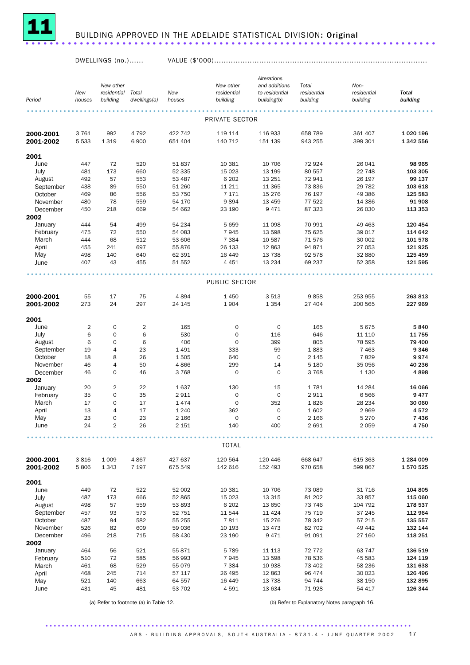

## <sup>11</sup> BUILDING APPROVED IN THE ADELAIDE STATISTICAL DIVISION: Original ....................................................................

DWELLINGS (no.)...... VALUE (\$'000)..........................................................................................

|                     |                |                |                       |                  |                  | Alterations         |                         |                   |                          |
|---------------------|----------------|----------------|-----------------------|------------------|------------------|---------------------|-------------------------|-------------------|--------------------------|
|                     |                | New other      |                       |                  | New other        | and additions       | Total                   | Non-              |                          |
|                     | New            | residential    | Total<br>dwellings(a) | New              | residential      | to residential      | residential<br>building | residential       | <b>Total</b><br>building |
| Period              | houses         | building       |                       | houses           | building         | building(b)         |                         | building          |                          |
|                     |                |                |                       |                  |                  |                     |                         |                   |                          |
|                     |                |                |                       |                  | PRIVATE SECTOR   |                     |                         |                   |                          |
| 2000-2001           | 3761           | 992            | 4 7 9 2               | 422 742          | 119 114          | 116 933             | 658 789                 | 361 407           | 1 0 20 1 96              |
| 2001-2002           | 5 5 3 3        | 1 3 1 9        | 6900                  | 651 404          | 140 712          | 151 139             | 943 255                 | 399 301           | 1 342 556                |
|                     |                |                |                       |                  |                  |                     |                         |                   |                          |
| 2001                |                |                |                       |                  |                  |                     |                         |                   |                          |
| June                | 447            | 72             | 520                   | 51 837           | 10 381           | 10 706              | 72 924                  | 26 041            | 98 965                   |
| July                | 481            | 173            | 660                   | 52 335           | 15 0 23          | 13 199              | 80 557                  | 22 748            | 103 305                  |
| August              | 492            | 57             | 553                   | 53 487           | 6 20 2           | 13 25 1             | 72941                   | 26 197            | 99 137                   |
| September           | 438            | 89             | 550                   | 51 260           | 11 211           | 11 3 65             | 73836                   | 29 7 82           | 103 618                  |
| October             | 469            | 86             | 556                   | 53 750           | 7 1 7 1          | 15 276              | 76 197                  | 49 386            | 125 583                  |
| November            | 480            | 78             | 559                   | 54 170           | 9894             | 13 4 5 9            | 77 522                  | 14 386            | 91 908                   |
| December            | 450            | 218            | 669                   | 54 662           | 23 190           | 9 4 7 1             | 87 323                  | 26 030            | 113 353                  |
| 2002                | 444            | 54             | 499                   | 54 234           | 5 6 5 9          | 11 098              | 70 991                  | 49 4 63           | 120 454                  |
| January<br>February | 475            | 72             | 550                   | 54 083           | 7945             | 13 598              | 75 625                  | 39 017            | 114 642                  |
| March               | 444            | 68             | 512                   | 53 606           | 7 3 8 4          | 10 587              | 71576                   | 30 002            | 101 578                  |
| April               | 455            | 241            | 697                   | 55 876           | 26 133           | 12 863              | 94 871                  | 27 053            | 121 925                  |
| May                 | 498            | 140            | 640                   | 62 391           | 16 4 49          | 13 7 38             | 92 578                  | 32 880            | 125 459                  |
| June                | 407            | 43             | 455                   | 51 552           | 4 4 5 1          | 13 2 34             | 69 237                  | 52 358            | 121 595                  |
|                     |                |                |                       |                  |                  |                     |                         |                   |                          |
|                     |                |                |                       |                  |                  |                     |                         |                   |                          |
|                     |                |                |                       |                  | PUBLIC SECTOR    |                     |                         |                   |                          |
|                     |                |                |                       |                  |                  |                     |                         |                   |                          |
| 2000-2001           | 55             | 17             | 75                    | 4894             | 1 4 5 0          | 3513                | 9858                    | 253 955           | 263 813                  |
| 2001-2002           | 273            | 24             | 297                   | 24 145           | 1904             | 1 3 5 4             | 27 404                  | 200 565           | 227 969                  |
| 2001                |                |                |                       |                  |                  |                     |                         |                   |                          |
| June                | $\overline{2}$ | 0              | $\overline{2}$        | 165              | 0                | $\mathsf{O}\xspace$ | 165                     | 5675              | 5840                     |
| July                | 6              | $\mathbf 0$    | 6                     | 530              | $\mathbf 0$      | 116                 | 646                     | 11 110            | 11 755                   |
| August              | 6              | $\mathbf 0$    | 6                     | 406              | $\mathbf 0$      | 399                 | 805                     | 78 595            | 79 400                   |
| September           | 19             | 4              | 23                    | 1 4 9 1          | 333              | 59                  | 1883                    | 7 4 6 3           | 9 3 4 6                  |
| October             | 18             | 8              | 26                    | 1505             | 640              | $\mathbf 0$         | 2 1 4 5                 | 7829              | 9974                     |
| November            | 46             | 4              | 50                    | 4866             | 299              | 14                  | 5 1 8 0                 | 35 056            | 40 236                   |
| December            | 46             | $\mathbf 0$    | 46                    | 3768             | $\mathbf 0$      | $\mathbf 0$         | 3768                    | 1 1 3 0           | 4898                     |
| 2002                |                |                |                       |                  |                  |                     |                         |                   |                          |
| January             | 20             | $\overline{2}$ | 22                    | 1637             | 130              | 15                  | 1781                    | 14 284            | 16 066                   |
| February            | 35             | $\mathbf 0$    | 35                    | 2911             | $\mathbf 0$      | 0                   | 2911                    | 6566              | 9477                     |
| March               | 17             | 0              | 17                    | 1474             | $\mathbf 0$      | 352                 | 1826                    | 28 2 34           | 30 060                   |
| April               | 13             | 4              | 17                    | 1 2 4 0          | 362              | $\mathbf 0$         | 1602                    | 2969              | 4572                     |
| May                 | 23             | $\mathbf 0$    | 23                    | 2 1 6 6          | $\mathbf 0$      | $\mathbf 0$         | 2 1 6 6                 | 5 2 7 0           | 7436                     |
| June                | 24             | $\overline{2}$ | 26                    | 2 1 5 1          | 140              | 400                 | 2691                    | 2059              | 4750                     |
|                     |                |                |                       |                  |                  |                     |                         |                   |                          |
|                     |                |                |                       |                  | <b>TOTAL</b>     |                     |                         |                   |                          |
|                     |                |                |                       |                  |                  |                     |                         |                   |                          |
| 2000-2001           | 3816           | 1 0 0 9        | 4867                  | 427 637          | 120 564          | 120 446             | 668 647                 | 615 363           | 1 284 009                |
| 2001-2002           | 5806           | 1 3 4 3        | 7 1 9 7               | 675 549          | 142 616          | 152 493             | 970 658                 | 599 867           | 1 570 525                |
|                     |                |                |                       |                  |                  |                     |                         |                   |                          |
| 2001                |                |                |                       |                  |                  |                     |                         |                   |                          |
| June                | 449            | 72             | 522                   | 52 002           | 10 381           | 10 706              | 73 089                  | 31 716            | 104 805                  |
| July                | 487            | 173            | 666                   | 52 865           | 15 0 23          | 13 3 15             | 81 202                  | 33 857            | 115 060                  |
| August<br>September | 498<br>457     | 57<br>93       | 559<br>573            | 53 893           | 6 20 2<br>11 544 | 13 650              | 73 746                  | 104 792<br>37 245 | 178 537                  |
| October             | 487            | 94             | 582                   | 52 751<br>55 255 | 7811             | 11 4 24<br>15 276   | 75 719<br>78 342        | 57 215            | 112 964<br>135 557       |
| November            | 526            | 82             | 609                   | 59 036           | 10 193           | 13 4 73             | 82 702                  | 49 442            | 132 144                  |
| December            | 496            | 218            | 715                   | 58 430           | 23 190           | 9471                | 91 091                  | 27 160            | 118 251                  |
| 2002                |                |                |                       |                  |                  |                     |                         |                   |                          |
| January             | 464            | 56             | 521                   | 55 871           | 5 7 8 9          | 11 113              | 72 772                  | 63 747            | 136 519                  |
| February            | 510            | 72             | 585                   | 56 993           | 7945             | 13 598              | 78 536                  | 45 583            | 124 119                  |
| March               | 461            | 68             | 529                   | 55 079           | 7 3 8 4          | 10 938              | 73 402                  | 58 236            | 131 638                  |
| April               | 468            | 245            | 714                   | 57 117           | 26 495           | 12 863              | 96 474                  | 30 0 23           | 126 496                  |
| May                 | 521            | 140            | 663                   | 64 557           | 16 4 4 9         | 13 7 38             | 94 744                  | 38 150            | 132 895                  |
| June                | 431            | 45             | 481                   | 53 702           | 4 5 9 1          | 13 634              | 71928                   | 54 417            | 126 344                  |
|                     |                |                |                       |                  |                  |                     |                         |                   |                          |

(a) Refer to footnote (a) in Table 12. (b) Refer to Explanatory Notes paragraph 16.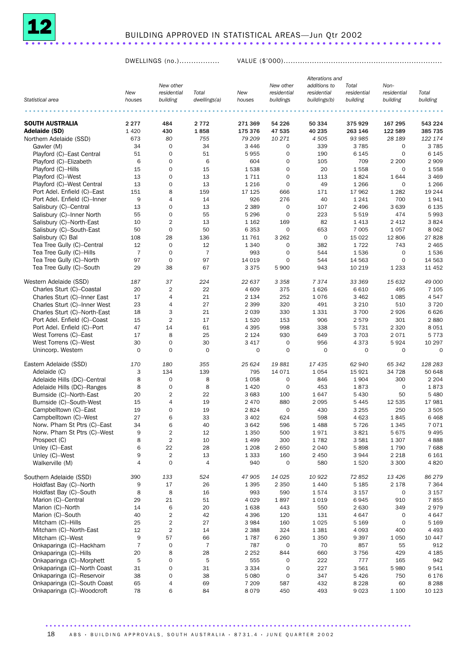

## BUILDING APPROVED IN STATISTICAL AREAS—Jun Qtr 2002 ..................................................................... .

DWELLINGS (no.)................. VALUE (\$'000)...................................................................

|                              |                  |                         |                 |         |                     |                     | Alterations and |             |          |
|------------------------------|------------------|-------------------------|-----------------|---------|---------------------|---------------------|-----------------|-------------|----------|
|                              |                  | New other               |                 |         | New other           | additions to        | Total           | Non-        |          |
|                              | New              | residential             | Total           | New     | residential         | residential         | residential     | residential | Total    |
| Statistical area             | houses           | building                | dwellings(a)    | houses  | buildings           | buildings(b)        | building        | building    | building |
|                              |                  |                         |                 |         |                     |                     |                 |             |          |
| <b>SOUTH AUSTRALIA</b>       | 2 2 7 7          | 484                     |                 | 271 369 |                     | 50 334              | 375929          | 167 295     | 543 224  |
|                              | 1 4 2 0          | 430                     | 2 7 7 2<br>1858 | 175 376 | 54 226              | 40 235              | 263 146         | 122 589     | 385 735  |
| Adelaide (SD)                |                  |                         |                 |         | 47 535              |                     |                 |             |          |
| Northern Adelaide (SSD)      | 673              | 80                      | 755             | 79 209  | 10 271              | 4 5 0 5             | 93 985          | 28 189      | 122 174  |
| Gawler (M)                   | 34               | 0                       | 34              | 3 4 4 6 | 0                   | 339                 | 3 7 8 5         | 0           | 3785     |
| Playford (C)-East Central    | 51               | $\mathbf 0$             | 51              | 5955    | $\mathbf 0$         | 190                 | 6 1 4 5         | $\mathbf 0$ | 6 1 4 5  |
| Playford (C)-Elizabeth       | 6                | 0                       | 6               | 604     | $\mathbf 0$         | 105                 | 709             | 2 2 0 0     | 2 9 0 9  |
| Playford (C)-Hills           | 15               | 0                       | 15              | 1538    | $\mathbf 0$         | 20                  | 1558            | $\mathbf 0$ | 1558     |
| Playford (C)-West            | 13               | 0                       | 13              | 1 7 1 1 | $\mathbf 0$         | 113                 | 1824            | 1644        | 3 4 6 9  |
| Playford (C)-West Central    | 13               | 0                       | 13              | 1 2 1 6 | $\mathbf 0$         | 49                  | 1 2 6 6         | 0           | 1 2 6 6  |
| Port Adel. Enfield (C)-East  | 151              | 8                       | 159             | 17 125  | 666                 | 171                 | 17962           | 1 2 8 2     | 19 244   |
| Port Adel. Enfield (C)-Inner | $\boldsymbol{9}$ | $\overline{4}$          | 14              | 926     | 276                 | 40                  | 1 2 4 1         | 700         | 1941     |
| Salisbury (C)-Central        | 13               | 0                       | 13              | 2 3 8 9 | 0                   | 107                 | 2 4 9 6         | 3639        | 6 1 3 5  |
| Salisbury (C)-Inner North    | 55               | 0                       | 55              | 5 2 9 6 | $\mathbf 0$         | 223                 | 5 5 1 9         | 474         | 5993     |
| Salisbury (C)-North-East     | 10               | $\overline{2}$          | 13              | 1 1 6 2 | 169                 | 82                  | 1413            | 2 4 1 2     | 3824     |
| Salisbury (C)-South-East     | 50               | $\mathbf 0$             | 50              | 6 3 5 3 | 0                   | 653                 | 7 0 0 5         | 1 0 5 7     | 8 0 6 2  |
| Salisbury (C) Bal            | 108              | 28                      | 136             | 11 761  | 3 2 6 2             | $\mathsf{O}\xspace$ | 15 0 22         | 12 806      | 27828    |
| Tea Tree Gully (C)-Central   | 12               | 0                       | 12              | 1 3 4 0 | 0                   | 382                 | 1722            | 743         | 2 4 6 5  |
| Tea Tree Gully (C)-Hills     | $\overline{7}$   | $\mathbf 0$             | $\overline{7}$  | 993     | $\mathbf 0$         | 544                 | 1536            | $\mathbf 0$ | 1536     |
| Tea Tree Gully (C)-North     | 97               | $\mathbf 0$             | 97              | 14 0 19 | $\mathbf 0$         | 544                 | 14 5 63         | $\mathbf 0$ | 14 5 63  |
| Tea Tree Gully (C)-South     | 29               | 38                      | 67              | 3 3 7 5 | 5 900               | 943                 | 10 219          | 1 2 3 3     | 11 452   |
|                              |                  |                         |                 |         |                     |                     |                 |             |          |
| Western Adelaide (SSD)       | 187              | 37                      | 224             | 22 637  | 3 3 5 8             | 7374                | 33 369          | 15 632      | 49 000   |
| Charles Sturt (C)-Coastal    | 20               | $\overline{2}$          | 22              | 4 609   | 375                 | 1626                | 6610            | 495         | 7 1 0 5  |
| Charles Sturt (C)-Inner East | 17               | 4                       | 21              | 2 1 3 4 | 252                 | 1076                | 3 4 6 2         | 1 0 8 5     | 4547     |
| Charles Sturt (C)-Inner West | 23               | 4                       | 27              | 2 3 9 9 | 320                 | 491                 | 3 2 1 0         | 510         | 3720     |
| Charles Sturt (C)-North-East | 18               | 3                       | 21              | 2 0 3 9 | 330                 | 1331                | 3 700           | 2926        | 6626     |
| Port Adel. Enfield (C)-Coast | 15               | $\overline{2}$          | 17              | 1 5 2 0 | 153                 | 906                 | 2579            | 301         | 2880     |
| Port Adel. Enfield (C)-Port  | 47               | 14                      | 61              | 4 3 9 5 | 998                 | 338                 | 5 7 3 1         | 2 3 2 0     | 8 0 5 1  |
| West Torrens (C)-East        | 17               | 8                       | 25              | 2 1 2 4 | 930                 | 649                 | 3 7 0 3         | 2071        | 5773     |
| West Torrens (C)-West        | 30               | $\mathsf{O}\xspace$     | 30              | 3 4 1 7 | $\mathbf 0$         | 956                 | 4373            | 5924        | 10 297   |
| Unincorp. Western            | $\mathbf 0$      | $\mathbf 0$             | $\mathbf 0$     | 0       | $\mathbf 0$         | $\mathbf 0$         | 0               | $\mathbf 0$ | 0        |
|                              |                  |                         |                 |         |                     |                     |                 |             |          |
| Eastern Adelaide (SSD)       | 170              | 180                     | 355             | 25 6 24 | 19881               | 17435               | 62 940          | 65 342      | 128 283  |
| Adelaide (C)                 | 3                | 134                     | 139             | 795     | 14 0 7 1            | 1054                | 15 9 21         | 34 7 28     | 50 648   |
| Adelaide Hills (DC)-Central  | 8                | $\mathsf{O}\xspace$     | 8               | 1 0 5 8 | $\mathbf 0$         | 846                 | 1904            | 300         | 2 2 0 4  |
| Adelaide Hills (DC)-Ranges   | 8                | 0                       | 8               | 1 4 2 0 | $\mathbf 0$         | 453                 | 1873            | 0           | 1873     |
| Burnside (C)-North-East      | 20               | $\overline{2}$          | 22              | 3 6 8 3 | 100                 | 1647                | 5 4 3 0         | 50          | 5 4 8 0  |
| Burnside (C)-South-West      | 15               | 4                       | 19              | 2 4 7 0 | 880                 | 2 0 9 5             | 5445            | 12 5 35     | 17981    |
| Campbelltown (C)-East        | 19               | 0                       | 19              | 2824    | $\mathbf 0$         | 430                 | 3 2 5 5         | 250         | 3505     |
| Campbelltown (C)-West        | 27               | 6                       | 33              | 3 4 0 2 | 624                 | 598                 | 4 6 23          | 1845        | 6468     |
| Norw. P'ham St Ptrs (C)-East | 34               | 6                       | 40              | 3642    | 596                 | 1488                | 5726            | 1 3 4 5     | 7071     |
|                              | 9                | $\overline{2}$          | 12              | 1 3 5 0 | 500                 | 1971                | 3821            |             | 9 4 9 5  |
| Norw. P'ham St Ptrs (C)-West |                  |                         |                 |         |                     |                     |                 | 5675        |          |
| Prospect (C)                 | 8                | $\overline{2}$          | 10              | 1 4 9 9 | 300                 | 1782                | 3581            | 1 3 0 7     | 4888     |
| Unley (C)-East               | 6                | 22                      | 28              | 1 2 0 8 | 2650                | 2 0 4 0             | 5898            | 1790        | 7688     |
| Unley (C)-West               | 9                | $\sqrt{2}$              | 13              | 1 3 3 3 | 160                 | 2 4 5 0             | 3944            | 2 2 1 8     | 6 1 6 1  |
| Walkerville (M)              | $\overline{4}$   | $\mathbf 0$             | $\overline{4}$  | 940     | 0                   | 580                 | 1520            | 3 3 0 0     | 4820     |
| Southern Adelaide (SSD)      | 390              | 133                     | 524             |         |                     | 10 922              |                 |             | 86 279   |
|                              |                  |                         |                 | 47 905  | 14 0 25             |                     | 72 852          | 13 4 26     |          |
| Holdfast Bay (C)-North       | 9                | 17                      | 26              | 1 3 9 5 | 2 3 5 0             | 1 4 4 0             | 5 1 8 5         | 2 1 7 8     | 7 3 6 4  |
| Holdfast Bay (C)-South       | 8                | 8                       | 16              | 993     | 590                 | 1574                | 3 1 5 7         | 0           | 3 1 5 7  |
| Marion (C)-Central           | 29               | 21                      | 51              | 4 0 2 9 | 1897                | 1019                | 6945            | 910         | 7855     |
| Marion (C)-North             | 14               | $\,6$                   | 20              | 1638    | 443                 | 550                 | 2 6 3 0         | 349         | 2979     |
| Marion (C)-South             | 40               | 2                       | 42              | 4 3 9 6 | 120                 | 131                 | 4647            | 0           | 4647     |
| Mitcham (C)-Hills            | 25               | $\overline{\mathbf{c}}$ | 27              | 3 9 8 4 | 160                 | 1 0 25              | 5 1 6 9         | $\mathbf 0$ | 5 1 6 9  |
| Mitcham (C)-North-East       | 12               | $\overline{2}$          | 14              | 2 3 8 8 | 324                 | 1381                | 4 0 9 3         | 400         | 4 4 9 3  |
| Mitcham (C)-West             | 9                | 57                      | 66              | 1787    | 6 2 6 0             | 1 3 5 0             | 9 3 9 7         | 1 0 5 0     | 10 447   |
| Onkaparinga (C)-Hackham      | $\overline{7}$   | $\mathsf{O}\xspace$     | $\overline{7}$  | 787     | $\mathsf{O}\xspace$ | 70                  | 857             | 55          | 912      |
| Onkaparinga (C)-Hills        | 20               | 8                       | 28              | 2 2 5 2 | 844                 | 660                 | 3756            | 429         | 4 1 8 5  |
| Onkaparinga (C)-Morphett     | 5                | 0                       | 5               | 555     | $\mathsf{O}\xspace$ | 222                 | 777             | 165         | 942      |
| Onkaparinga (C)–North Coast  | 31               | 0                       | 31              | 3 3 3 4 | $\mathsf{O}\xspace$ | 227                 | 3 5 6 1         | 5980        | 9541     |
| Onkaparinga (C)-Reservoir    | 38               | 0                       | 38              | 5 0 8 0 | $\mathsf{O}\xspace$ | 347                 | 5426            | 750         | 6 176    |
| Onkaparinga (C)-South Coast  | 65               | 4                       | 69              | 7 2 0 9 | 587                 | 432                 | 8 2 2 8         | 60          | 8 2 8 8  |
| Onkaparinga (C)-Woodcroft    | 78               | 6                       | 84              | 8079    | 450                 | 493                 | 9023            | 1 100       | 10 123   |

18 A B S · BUILDING APPROVALS, SOUTH AUSTRALIA · 8731.4 · JUNE QUARTER 2002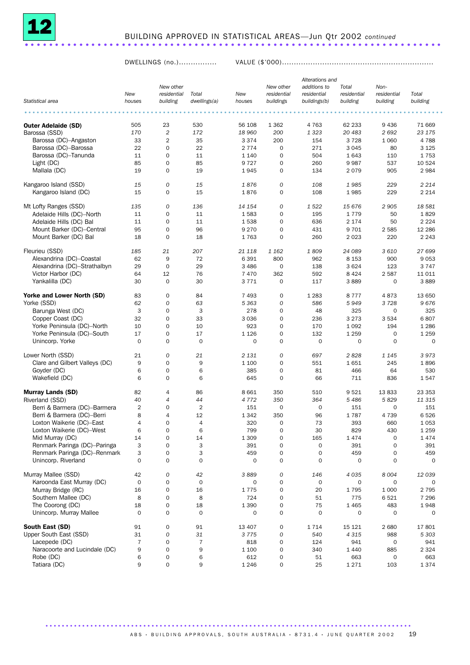

DWELLINGS (no.)................ VALUE (\$'000)................................................................

|                                                            |                |                |                |         |                     | Alterations and |             |                     |          |
|------------------------------------------------------------|----------------|----------------|----------------|---------|---------------------|-----------------|-------------|---------------------|----------|
|                                                            |                | New other      |                |         | New other           | additions to    | Total       | Non-                |          |
|                                                            | New            | residential    | Total          | New     | residential         | residential     | residential | residential         | Total    |
| Statistical area                                           | houses         | building       | dwellings(a)   | houses  | buildings           | buildings(b)    | building    | building            | building |
|                                                            |                |                |                |         |                     |                 |             |                     |          |
|                                                            |                |                |                |         |                     |                 |             |                     |          |
| <b>Outer Adelaide (SD)</b>                                 | 505            | 23             | 530            | 56 108  | 1 3 6 2             | 4 7 6 3         | 62 233      | 9 4 3 6             | 71 669   |
| Barossa (SSD)                                              | 170            | $\overline{c}$ | 172            | 18 960  | 200                 | 1 3 2 3         | 20 483      | 2692                | 23 175   |
| Barossa (DC)-Angaston                                      | 33             | 2              | 35             | 3 3 7 4 | 200                 | 154             | 3728        | 1 0 6 0             | 4788     |
| Barossa (DC)-Barossa                                       | 22             | $\mathbf 0$    | 22             | 2 7 7 4 | 0                   | 271             | 3 0 4 5     | 80                  | 3 1 2 5  |
| Barossa (DC)-Tanunda                                       | 11             | $\mathbf 0$    | 11             | 1 1 4 0 | 0                   | 504             | 1643        | 110                 | 1753     |
| Light (DC)                                                 | 85             | $\mathbf 0$    | 85             | 9727    | $\mathbf 0$         | 260             | 9987        | 537                 | 10 5 24  |
| Mallala (DC)                                               | 19             | $\mathbf 0$    | 19             | 1945    | 0                   | 134             | 2079        | 905                 | 2984     |
| Kangaroo Island (SSD)                                      |                |                |                |         |                     |                 |             |                     |          |
|                                                            | 15             | 0              | 15             | 1876    | 0                   | 108             | 1985        | 229                 | 2 2 1 4  |
| Kangaroo Island (DC)                                       | 15             | 0              | 15             | 1876    | 0                   | 108             | 1985        | 229                 | 2 2 1 4  |
| Mt Lofty Ranges (SSD)                                      | 135            | 0              | 136            | 14 154  | 0                   | 1522            | 15 676      | 2 9 0 5             | 18 581   |
| Adelaide Hills (DC)-North                                  | 11             | 0              | 11             | 1583    | 0                   | 195             | 1779        | 50                  | 1829     |
| Adelaide Hills (DC) Bal                                    | 11             | 0              | 11             | 1538    | $\mathbf 0$         | 636             | 2 1 7 4     | 50                  | 2 2 2 4  |
| Mount Barker (DC)-Central                                  | 95             | $\mathbf 0$    | 96             | 9 2 7 0 | $\mathbf 0$         | 431             | 9701        | 2 5 8 5             | 12 2 8 6 |
| Mount Barker (DC) Bal                                      | 18             | $\mathbf 0$    | 18             | 1763    | 0                   | 260             | 2023        | 220                 | 2 2 4 3  |
|                                                            |                |                |                |         |                     |                 |             |                     |          |
| Fleurieu (SSD)                                             | 185            | 21             | 207            | 21 118  | 1 1 6 2             | 1809            | 24 089      | 3 6 1 0             | 27 699   |
| Alexandrina (DC)-Coastal                                   | 62             | 9              | 72             | 6 3 9 1 | 800                 | 962             | 8 1 5 3     | 900                 | 9 0 5 3  |
| Alexandrina (DC)-Strathalbyn                               | 29             | $\mathbf 0$    | 29             | 3 4 8 6 | 0                   | 138             | 3 6 2 4     | 123                 | 3747     |
| Victor Harbor (DC)                                         | 64             | 12             | 76             | 7470    | 362                 | 592             | 8424        | 2587                | 11 0 11  |
| Yankalilla (DC)                                            | 30             | $\mathbf 0$    | 30             | 3771    | 0                   | 117             | 3889        | $\mathbf 0$         | 3889     |
|                                                            |                |                |                |         |                     |                 |             |                     |          |
| Yorke and Lower North (SD)                                 | 83             | $\mathbf 0$    | 84             | 7 4 9 3 | $\mathbf 0$         | 1 2 8 3         | 8777        | 4873                | 13 650   |
| Yorke (SSD)                                                | 62             | 0              | 63             | 5 3 6 3 | 0                   | 586             | 5949        | 3728                | 9676     |
| Barunga West (DC)                                          | 3              | 0              | 3              | 278     | 0                   | 48              | 325         | $\mathbf 0$         | 325      |
| Copper Coast (DC)                                          | 32             | 0              | 33             | 3 0 3 6 | 0                   | 236             | 3 2 7 3     | 3 5 3 4             | 6807     |
| Yorke Peninsula (DC)-North                                 | 10             | $\mathbf 0$    | 10             | 923     | 0                   | 170             | 1 0 9 2     | 194                 | 1 2 8 6  |
| Yorke Peninsula (DC)-South                                 | 17             | $\mathbf 0$    | 17             | 1 1 2 6 | $\mathbf 0$         | 132             | 1 2 5 9     | $\mathbf 0$         | 1 2 5 9  |
| Unincorp. Yorke                                            | $\mathbf 0$    | $\mathbf 0$    | $\mathbf 0$    | 0       | $\mathbf 0$         | 0               | 0           | $\mathbf 0$         | 0        |
|                                                            |                |                |                |         |                     |                 |             |                     |          |
| Lower North (SSD)                                          | 21             | 0              | 21             | 2 1 3 1 | 0                   | 697             | 2828        | 1 1 4 5             | 3973     |
| Clare and Gilbert Valleys (DC)                             | 9              | 0              | 9              | 1 100   | $\mathbf 0$         | 551             | 1651        | 245                 | 1896     |
| Goyder (DC)                                                | 6              | 0              | 6              | 385     | $\mathbf 0$         | 81              | 466         | 64                  | 530      |
| Wakefield (DC)                                             | 6              | $\mathbf 0$    | 6              | 645     | $\mathbf 0$         | 66              | 711         | 836                 | 1547     |
| <b>Murray Lands (SD)</b>                                   | 82             | 4              | 86             | 8 6 6 1 | 350                 | 510             | 9521        | 13833               | 23 353   |
| Riverland (SSD)                                            | 40             | 4              | 44             | 4 7 7 2 | 350                 | 364             | 5 4 8 6     | 5829                | 11 315   |
|                                                            | $\overline{2}$ | $\mathbf 0$    | $\overline{2}$ |         | $\mathbf 0$         | 0               |             |                     |          |
| Berri & Barmera (DC)-Barmera<br>Berri & Barmera (DC)-Berri | 8              | 4              | 12             | 151     | 350                 | 96              | 151         | 0                   | 151      |
| Loxton Waikerie (DC)-East                                  | 4              | $\Omega$       | 4              | 1 3 4 2 | $\mathbf 0$         |                 | 1787<br>393 | 4 7 3 9             | 6526     |
|                                                            |                |                |                | 320     |                     | 73              |             | 660                 | 1 0 5 3  |
| Loxton Waikerie (DC)-West                                  | 6              | 0              | 6              | 799     | 0                   | 30              | 829         | 430                 | 1 2 5 9  |
| Mid Murray (DC)                                            | 14             | 0              | 14             | 1 3 0 9 | 0                   | 165             | 1474        | $\mathsf{O}\xspace$ | 1474     |
| Renmark Paringa (DC)-Paringa                               | 3              | 0              | 3              | 391     | 0                   | 0               | 391         | 0                   | 391      |
| Renmark Paringa (DC)-Renmark                               | 3              | 0              | 3              | 459     | 0                   | 0               | 459         | 0                   | 459      |
| Unincorp. Riverland                                        | $\mathbf 0$    | 0              | $\mathbf 0$    | 0       | 0                   | 0               | 0           | 0                   | 0        |
| Murray Mallee (SSD)                                        | 42             | 0              | 42             | 3889    | 0                   | 146             | 4 0 3 5     | 8 0 0 4             | 12039    |
| Karoonda East Murray (DC)                                  | 0              | 0              | $\mathbf 0$    | 0       | $\mathsf{O}\xspace$ | 0               | 0           | 0                   | 0        |
| Murray Bridge (RC)                                         | 16             | 0              | 16             | 1775    | $\mathsf{O}\xspace$ | 20              | 1795        | 1 0 0 0             | 2 7 9 5  |
| Southern Mallee (DC)                                       | 8              | 0              | 8              | 724     | 0                   | 51              | 775         | 6521                | 7 2 9 6  |
| The Coorong (DC)                                           | 18             | 0              | 18             | 1 3 9 0 | 0                   | 75              | 1465        | 483                 | 1948     |
| Unincorp. Murray Mallee                                    | $\mathbf 0$    | 0              | $\mathbf 0$    | 0       | 0                   | $\mathbf 0$     | 0           | 0                   | 0        |
|                                                            |                |                |                |         |                     |                 |             |                     |          |
| South East (SD)                                            | 91             | 0              | 91             | 13 407  | 0                   | 1714            | 15 121      | 2680                | 17801    |
| Upper South East (SSD)                                     | 31             | 0              | 31             | 3 7 7 5 | 0                   | 540             | 4 3 1 5     | 988                 | 5 3 0 3  |
| Lacepede (DC)                                              | 7              | 0              | $\overline{7}$ | 818     | 0                   | 124             | 941         | 0                   | 941      |
| Naracoorte and Lucindale (DC)                              | 9              | 0              | 9              | 1 100   | 0                   | 340             | 1440        | 885                 | 2 3 2 4  |
| Robe (DC)                                                  | 6              | 0              | 6              | 612     | 0                   | 51              | 663         | 0                   | 663      |
| Tatiara (DC)                                               | 9              | 0              | 9              | 1 2 4 6 | $\mathbf 0$         | 25              | 1271        | 103                 | 1 3 7 4  |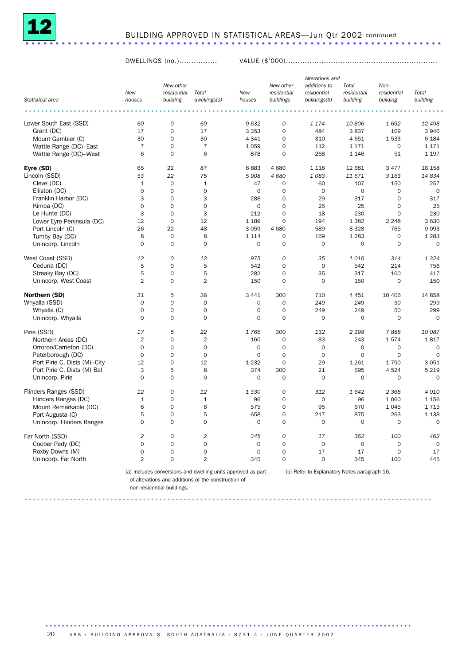

#### BUILDING APPROVED IN STATISTICAL AREAS—Jun Qtr 2002 *continued* ..................................................................... .

DWELLINGS (no.)................ VALUE (\$'000)................................................................

|                              |                |                                      |                       |               |                                       | Alterations and                             |                                  |                                 |                   |
|------------------------------|----------------|--------------------------------------|-----------------------|---------------|---------------------------------------|---------------------------------------------|----------------------------------|---------------------------------|-------------------|
| Statistical area             | New<br>houses  | New other<br>residential<br>building | Total<br>dwellings(a) | New<br>houses | New other<br>residential<br>buildings | additions to<br>residential<br>buildings(b) | Total<br>residential<br>building | Non-<br>residential<br>building | Total<br>building |
|                              |                |                                      |                       |               |                                       |                                             |                                  |                                 |                   |
| Lower South East (SSD)       | 60             | $\cal O$                             | 60                    | 9632          | $\cal O$                              | 1 1 7 4                                     | 10806                            | 1692                            | 12 498            |
| Grant (DC)                   | 17             | $\mathbf 0$                          | 17                    | 3 3 5 3       | $\mathbf 0$                           | 484                                         | 3837                             | 109                             | 3 9 4 6           |
| Mount Gambier (C)            | 30             | $\overline{0}$                       | 30                    | 4 3 4 1       | $\mathbf 0$                           | 310                                         | 4 6 5 1                          | 1533                            | 6 1 8 4           |
| Wattle Range (DC)-East       | $\overline{7}$ | $\mathbf 0$                          | $\overline{7}$        | 1 0 5 9       | $\mathbf 0$                           | 112                                         | 1 1 7 1                          | $\mathbf 0$                     | 1 1 7 1           |
| Wattle Range (DC)-West       | 6              | $\mathbf 0$                          | 6                     | 878           | $\mathbf 0$                           | 268                                         | 1 1 4 6                          | 51                              | 1 1 9 7           |
| Eyre (SD)                    | 65             | 22                                   | 87                    | 6883          | 4 6 8 0                               | 1 1 1 8                                     | 12 681                           | 3 4 7 7                         | 16 158            |
| Lincoln (SSD)                | 53             | 22                                   | 75                    | 5908          | 4 680                                 | 1083                                        | 11 671                           | 3 1 6 3                         | 14834             |
| Cleve (DC)                   | $\mathbf{1}$   | $\mathbf 0$                          | $\mathbf 1$           | 47            | $\mathbf 0$                           | 60                                          | 107                              | 150                             | 257               |
| Elliston (DC)                | $\mathbf 0$    | $\mathbf 0$                          | $\mathbf 0$           | $\mathbf 0$   | $\mathbf 0$                           | $\mathbf 0$                                 | 0                                | $\mathbf 0$                     | $\mathbf 0$       |
| Franklin Harbor (DC)         | 3              | 0                                    | 3                     | 288           | $\mathbf 0$                           | 29                                          | 317                              | 0                               | 317               |
| Kimba (DC)                   | $\mathbf 0$    | 0                                    | $\mathbf 0$           | $\mathbf 0$   | $\mathbf 0$                           | 25                                          | 25                               | 0                               | 25                |
| Le Hunte (DC)                | 3              | $\mathbf 0$                          | 3                     | 212           | $\mathbf 0$                           | 18                                          | 230                              | $\Omega$                        | 230               |
| Lower Eyre Peninsula (DC)    | 12             | $\mathbf 0$                          | 12                    | 1 1 8 9       | $\mathbf 0$                           | 194                                         | 1 3 8 2                          | 2 2 4 8                         | 3 6 3 0           |
| Port Lincoln (C)             | 26             | 22                                   | 48                    | 3059          | 4 680                                 | 589                                         | 8 3 2 8                          | 765                             | 9093              |
| Tumby Bay (DC)               | 8              | $\mathbf 0$                          | 8                     | 1 1 1 4       | 0                                     | 169                                         | 1 2 8 3                          | 0                               | 1 2 8 3           |
| Unincorp. Lincoln            | $\Omega$       | $\mathbf 0$                          | $\mathbf 0$           | $\mathbf 0$   | $\mathbf 0$                           | $\mathbf 0$                                 | 0                                | $\mathbf 0$                     | $\Omega$          |
| West Coast (SSD)             | 12             | 0                                    | 12                    | 975           | 0                                     | 35                                          | 1010                             | 314                             | 1 3 2 4           |
| Ceduna (DC)                  | 5              | $\overline{0}$                       | 5                     | 542           | $\mathbf 0$                           | $\mathbf 0$                                 | 542                              | 214                             | 756               |
| Streaky Bay (DC)             | 5              | $\mathbf 0$                          | 5                     | 282           | $\mathbf 0$                           | 35                                          | 317                              | 100                             | 417               |
| Unincorp. West Coast         | $\overline{2}$ | $\mathbf 0$                          | $\overline{2}$        | 150           | $\mathbf 0$                           | $\mathbf 0$                                 | 150                              | $\mathbf 0$                     | 150               |
| Northern (SD)                | 31             | 5                                    | 36                    | 3 4 4 1       | 300                                   | 710                                         | 4 4 5 1                          | 10 40 6                         | 14 8 58           |
| Whyalla (SSD)                | $\mathcal{O}$  | 0                                    | 0                     | 0             | $\boldsymbol{0}$                      | 249                                         | 249                              | 50                              | 299               |
| Whyalla (C)                  | $\mathbf 0$    | $\mathbf 0$                          | $\mathbf 0$           | $\mathbf 0$   | $\mathbf 0$                           | 249                                         | 249                              | 50                              | 299               |
| Unincorp. Whyalla            | $\Omega$       | $\mathbf 0$                          | $\Omega$              | $\Omega$      | $\Omega$                              | $\mathsf{O}\xspace$                         | $\Omega$                         | $\Omega$                        | $\Omega$          |
| Pirie (SSD)                  | 17             | 5                                    | 22                    | 1766          | 300                                   | 132                                         | 2 1 9 8                          | 7888                            | 10 087            |
| Northern Areas (DC)          | $\overline{2}$ | $\mathbf 0$                          | $\overline{2}$        | 160           | $\mathbf 0$                           | 83                                          | 243                              | 1574                            | 1817              |
| Orroroo/Carrieton (DC)       | $\mathbf 0$    | $\mathbf 0$                          | $\mathbf 0$           | $\mathbf 0$   | $\mathbf 0$                           | $\mathbf 0$                                 | 0                                | 0                               | $\mathbf 0$       |
| Peterborough (DC)            | $\mathbf 0$    | $\mathbf 0$                          | $\mathbf 0$           | $\mathbf 0$   | $\mathbf 0$                           | $\mathbf 0$                                 | 0                                | $\mathbf 0$                     | $\mathbf 0$       |
| Port Pirie C, Dists (M)-City | 12             | $\mathbf 0$                          | 12                    | 1 2 3 2       | $\mathbf 0$                           | 29                                          | 1 2 6 1                          | 1790                            | 3 0 5 1           |
| Port Pirie C, Dists (M) Bal  | 3              | 5                                    | 8                     | 374           | 300                                   | 21                                          | 695                              | 4524                            | 5 2 1 9           |
| Unincorp. Pirie              | $\Omega$       | $\mathbf 0$                          | $\mathbf 0$           | $\mathbf 0$   | $\mathbf 0$                           | $\mathbf 0$                                 | 0                                | $\mathbf 0$                     | $\Omega$          |
| Flinders Ranges (SSD)        | 12             | 0                                    | 12                    | 1 3 3 0       | 0                                     | 312                                         | 1642                             | 2 3 6 8                         | 4 0 1 0           |
| Flinders Ranges (DC)         | $\mathbf{1}$   | $\mathbf 0$                          | $\mathbf{1}$          | 96            | $\mathbf 0$                           | $\mathbf 0$                                 | 96                               | 1 0 6 0                         | 1 1 5 6           |
| Mount Remarkable (DC)        | 6              | $\overline{0}$                       | 6                     | 575           | $\mathbf 0$                           | 95                                          | 670                              | 1045                            | 1715              |
| Port Augusta (C)             | 5              | 0                                    | 5                     | 658           | $\mathbf 0$                           | 217                                         | 875                              | 263                             | 1 1 38            |
| Unincorp. Flinders Ranges    | $\Omega$       | $\mathbf 0$                          | $\mathbf 0$           | $\mathbf 0$   | $\mathbf 0$                           | $\mathbf 0$                                 | $\mathbf 0$                      | $\mathbf 0$                     | $\Omega$          |
| Far North (SSD)              | $\overline{2}$ | $\cal O$                             | $\overline{2}$        | 345           | 0                                     | 17                                          | 362                              | 100                             | 462               |
| Coober Pedy (DC)             | $\Omega$       | $\mathbf 0$                          | $\mathbf 0$           | $\mathbf 0$   | $\mathbf 0$                           | $\mathbf 0$                                 | $\mathbf 0$                      | $\mathbf 0$                     | $\mathbf 0$       |
| Roxby Downs (M)              | $\mathbf 0$    | $\mathbf 0$                          | $\mathbf 0$           | $\mathbf 0$   | $\mathbf 0$                           | 17                                          | 17                               | $\mathbf 0$                     | 17                |
| Unincorp. Far North          | $\overline{2}$ | $\Omega$                             | $\overline{2}$        | 345           | $\Omega$                              | $\Omega$                                    | 345                              | 100                             | 445               |

(a) Includes conversions and dwelling units approved as part (b) Refer to Explanatory Notes paragraph 16. of alterations and additions or the construction of

....................................................................................................

..........................................................................................

non-residential buildings.

20 A B S · BUILDING APPROVALS, SOUTH AUSTRALIA · 8731.4 · JUNE QUARTER 2002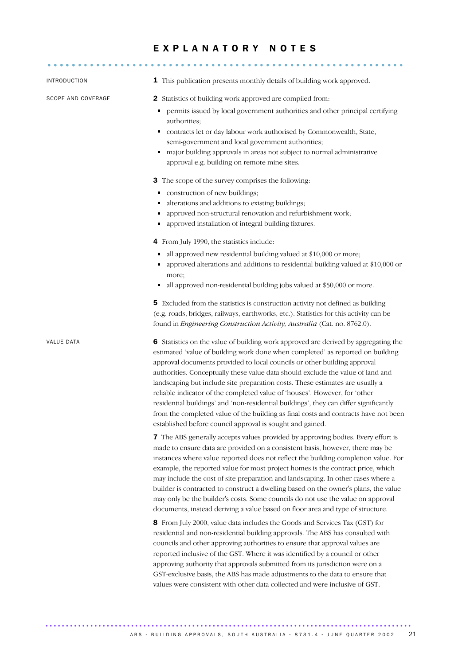#### E X P L A N A T O R Y N O T E S

| INTRODUCTION       | 1 This publication presents monthly details of building work approved.                                                                                                                                                                                                                                                                                                                                                                                                                                                                                                                                                                                                                                                                          |
|--------------------|-------------------------------------------------------------------------------------------------------------------------------------------------------------------------------------------------------------------------------------------------------------------------------------------------------------------------------------------------------------------------------------------------------------------------------------------------------------------------------------------------------------------------------------------------------------------------------------------------------------------------------------------------------------------------------------------------------------------------------------------------|
| SCOPE AND COVERAGE | <b>2</b> Statistics of building work approved are compiled from:                                                                                                                                                                                                                                                                                                                                                                                                                                                                                                                                                                                                                                                                                |
|                    | permits issued by local government authorities and other principal certifying<br>authorities;                                                                                                                                                                                                                                                                                                                                                                                                                                                                                                                                                                                                                                                   |
|                    | contracts let or day labour work authorised by Commonwealth, State,<br>٠<br>semi-government and local government authorities;                                                                                                                                                                                                                                                                                                                                                                                                                                                                                                                                                                                                                   |
|                    | major building approvals in areas not subject to normal administrative<br>٠<br>approval e.g. building on remote mine sites.                                                                                                                                                                                                                                                                                                                                                                                                                                                                                                                                                                                                                     |
|                    | 3 The scope of the survey comprises the following:                                                                                                                                                                                                                                                                                                                                                                                                                                                                                                                                                                                                                                                                                              |
|                    | construction of new buildings;<br>٠                                                                                                                                                                                                                                                                                                                                                                                                                                                                                                                                                                                                                                                                                                             |
|                    | alterations and additions to existing buildings;                                                                                                                                                                                                                                                                                                                                                                                                                                                                                                                                                                                                                                                                                                |
|                    | approved non-structural renovation and refurbishment work;                                                                                                                                                                                                                                                                                                                                                                                                                                                                                                                                                                                                                                                                                      |
|                    | approved installation of integral building fixtures.                                                                                                                                                                                                                                                                                                                                                                                                                                                                                                                                                                                                                                                                                            |
|                    | 4 From July 1990, the statistics include:                                                                                                                                                                                                                                                                                                                                                                                                                                                                                                                                                                                                                                                                                                       |
|                    | all approved new residential building valued at \$10,000 or more;<br>ш                                                                                                                                                                                                                                                                                                                                                                                                                                                                                                                                                                                                                                                                          |
|                    | approved alterations and additions to residential building valued at \$10,000 or<br>more;                                                                                                                                                                                                                                                                                                                                                                                                                                                                                                                                                                                                                                                       |
|                    | all approved non-residential building jobs valued at \$50,000 or more.<br>п                                                                                                                                                                                                                                                                                                                                                                                                                                                                                                                                                                                                                                                                     |
|                    | 5 Excluded from the statistics is construction activity not defined as building                                                                                                                                                                                                                                                                                                                                                                                                                                                                                                                                                                                                                                                                 |
|                    | (e.g. roads, bridges, railways, earthworks, etc.). Statistics for this activity can be<br>found in Engineering Construction Activity, Australia (Cat. no. 8762.0).                                                                                                                                                                                                                                                                                                                                                                                                                                                                                                                                                                              |
| VALUE DATA         | 6 Statistics on the value of building work approved are derived by aggregating the<br>estimated 'value of building work done when completed' as reported on building<br>approval documents provided to local councils or other building approval<br>authorities. Conceptually these value data should exclude the value of land and<br>landscaping but include site preparation costs. These estimates are usually a<br>reliable indicator of the completed value of 'houses'. However, for 'other<br>residential buildings' and 'non-residential buildings', they can differ significantly<br>from the completed value of the building as final costs and contracts have not been<br>established before council approval is sought and gained. |
|                    | 7 The ABS generally accepts values provided by approving bodies. Every effort is<br>made to ensure data are provided on a consistent basis, however, there may be<br>instances where value reported does not reflect the building completion value. For<br>example, the reported value for most project homes is the contract price, which<br>may include the cost of site preparation and landscaping. In other cases where a<br>builder is contracted to construct a dwelling based on the owner's plans, the value<br>may only be the builder's costs. Some councils do not use the value on approval<br>documents, instead deriving a value based on floor area and type of structure.                                                      |
|                    | 8 From July 2000, value data includes the Goods and Services Tax (GST) for<br>residential and non-residential building approvals. The ABS has consulted with<br>councils and other approving authorities to ensure that approval values are<br>reported inclusive of the GST. Where it was identified by a council or other<br>approving authority that approvals submitted from its jurisdiction were on a<br>GST-exclusive basis, the ABS has made adjustments to the data to ensure that<br>values were consistent with other data collected and were inclusive of GST.                                                                                                                                                                      |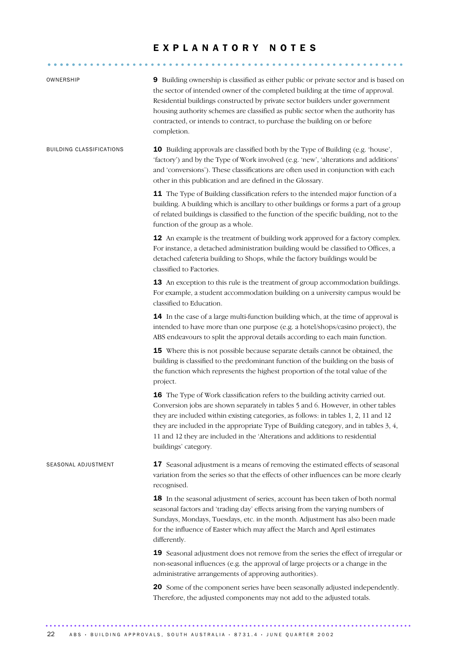#### E X P L A N A T O R Y N O T E S

........................................................... .....

| OWNERSHIP                | 9 Building ownership is classified as either public or private sector and is based on<br>the sector of intended owner of the completed building at the time of approval.<br>Residential buildings constructed by private sector builders under government<br>housing authority schemes are classified as public sector when the authority has<br>contracted, or intends to contract, to purchase the building on or before<br>completion.                 |
|--------------------------|-----------------------------------------------------------------------------------------------------------------------------------------------------------------------------------------------------------------------------------------------------------------------------------------------------------------------------------------------------------------------------------------------------------------------------------------------------------|
| BUILDING CLASSIFICATIONS | <b>10</b> Building approvals are classified both by the Type of Building (e.g. 'house',<br>'factory') and by the Type of Work involved (e.g. 'new', 'alterations and additions'<br>and 'conversions'). These classifications are often used in conjunction with each<br>other in this publication and are defined in the Glossary.                                                                                                                        |
|                          | 11 The Type of Building classification refers to the intended major function of a<br>building. A building which is ancillary to other buildings or forms a part of a group<br>of related buildings is classified to the function of the specific building, not to the<br>function of the group as a whole.                                                                                                                                                |
|                          | 12 An example is the treatment of building work approved for a factory complex.<br>For instance, a detached administration building would be classified to Offices, a<br>detached cafeteria building to Shops, while the factory buildings would be<br>classified to Factories.                                                                                                                                                                           |
|                          | 13 An exception to this rule is the treatment of group accommodation buildings.<br>For example, a student accommodation building on a university campus would be<br>classified to Education.                                                                                                                                                                                                                                                              |
|                          | 14 In the case of a large multi-function building which, at the time of approval is<br>intended to have more than one purpose (e.g. a hotel/shops/casino project), the<br>ABS endeavours to split the approval details according to each main function.                                                                                                                                                                                                   |
|                          | 15 Where this is not possible because separate details cannot be obtained, the<br>building is classified to the predominant function of the building on the basis of<br>the function which represents the highest proportion of the total value of the<br>project.                                                                                                                                                                                        |
|                          | 16 The Type of Work classification refers to the building activity carried out.<br>Conversion jobs are shown separately in tables 5 and 6. However, in other tables<br>they are included within existing categories, as follows: in tables 1, 2, 11 and 12<br>they are included in the appropriate Type of Building category, and in tables 3, 4,<br>11 and 12 they are included in the 'Alterations and additions to residential<br>buildings' category. |
| SEASONAL ADJUSTMENT      | 17 Seasonal adjustment is a means of removing the estimated effects of seasonal<br>variation from the series so that the effects of other influences can be more clearly<br>recognised.                                                                                                                                                                                                                                                                   |
|                          | 18 In the seasonal adjustment of series, account has been taken of both normal<br>seasonal factors and 'trading day' effects arising from the varying numbers of<br>Sundays, Mondays, Tuesdays, etc. in the month. Adjustment has also been made<br>for the influence of Easter which may affect the March and April estimates<br>differently.                                                                                                            |
|                          | 19 Seasonal adjustment does not remove from the series the effect of irregular or<br>non-seasonal influences (e.g. the approval of large projects or a change in the<br>administrative arrangements of approving authorities).                                                                                                                                                                                                                            |
|                          | 20 Some of the component series have been seasonally adjusted independently.<br>Therefore, the adjusted components may not add to the adjusted totals.                                                                                                                                                                                                                                                                                                    |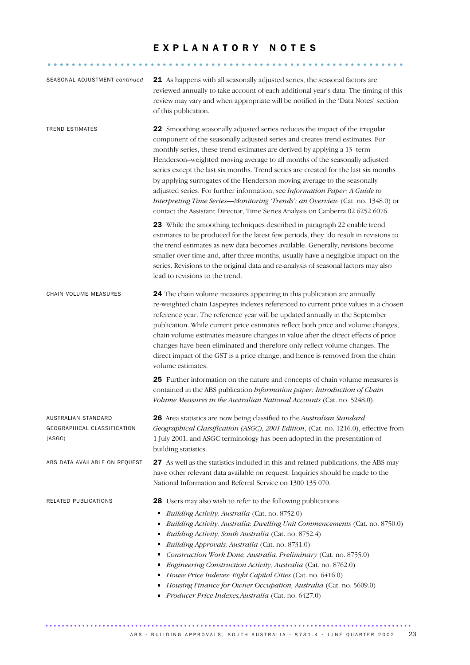#### E X P L A N A T O R Y N O T E S

........................................................... .....

| SEASONAL ADJUSTMENT continued                                | 21 As happens with all seasonally adjusted series, the seasonal factors are<br>reviewed annually to take account of each additional year's data. The timing of this<br>review may vary and when appropriate will be notified in the 'Data Notes' section<br>of this publication.                                                                                                                                                                                                                                                                                                                                                                                                                                                           |
|--------------------------------------------------------------|--------------------------------------------------------------------------------------------------------------------------------------------------------------------------------------------------------------------------------------------------------------------------------------------------------------------------------------------------------------------------------------------------------------------------------------------------------------------------------------------------------------------------------------------------------------------------------------------------------------------------------------------------------------------------------------------------------------------------------------------|
| <b>TREND ESTIMATES</b>                                       | 22 Smoothing seasonally adjusted series reduces the impact of the irregular<br>component of the seasonally adjusted series and creates trend estimates. For<br>monthly series, these trend estimates are derived by applying a 13-term<br>Henderson-weighted moving average to all months of the seasonally adjusted<br>series except the last six months. Trend series are created for the last six months<br>by applying surrogates of the Henderson moving average to the seasonally<br>adjusted series. For further information, see Information Paper: A Guide to<br>Interpreting Time Series-Monitoring 'Trends': an Overview (Cat. no. 1348.0) or<br>contact the Assistant Director, Time Series Analysis on Canberra 02 6252 6076. |
|                                                              | 23 While the smoothing techniques described in paragraph 22 enable trend<br>estimates to be produced for the latest few periods, they do result in revisions to<br>the trend estimates as new data becomes available. Generally, revisions become<br>smaller over time and, after three months, usually have a negligible impact on the<br>series. Revisions to the original data and re-analysis of seasonal factors may also<br>lead to revisions to the trend.                                                                                                                                                                                                                                                                          |
| CHAIN VOLUME MEASURES                                        | 24 The chain volume measures appearing in this publication are annually<br>re-weighted chain Laspeyres indexes referenced to current price values in a chosen<br>reference year. The reference year will be updated annually in the September<br>publication. While current price estimates reflect both price and volume changes,<br>chain volume estimates measure changes in value after the direct effects of price<br>changes have been eliminated and therefore only reflect volume changes. The<br>direct impact of the GST is a price change, and hence is removed from the chain<br>volume estimates.                                                                                                                             |
|                                                              | 25 Further information on the nature and concepts of chain volume measures is<br>contained in the ABS publication Information paper: Introduction of Chain<br>Volume Measures in the Australian National Accounts (Cat. no. 5248.0).                                                                                                                                                                                                                                                                                                                                                                                                                                                                                                       |
| AUSTRALIAN STANDARD<br>GEOGRAPHICAL CLASSIFICATION<br>(ASGC) | 26 Area statistics are now being classified to the Australian Standard<br>Geographical Classification (ASGC), 2001 Edition, (Cat. no. 1216.0), effective from<br>1 July 2001, and ASGC terminology has been adopted in the presentation of<br>building statistics.                                                                                                                                                                                                                                                                                                                                                                                                                                                                         |
| ABS DATA AVAILABLE ON REQUEST                                | 27 As well as the statistics included in this and related publications, the ABS may<br>have other relevant data available on request. Inquiries should be made to the<br>National Information and Referral Service on 1300 135 070.                                                                                                                                                                                                                                                                                                                                                                                                                                                                                                        |
| RELATED PUBLICATIONS                                         | 28 Users may also wish to refer to the following publications:<br>Building Activity, Australia (Cat. no. 8752.0)<br>٠<br>Building Activity, Australia: Dwelling Unit Commencements (Cat. no. 8750.0)<br>٠<br>Building Activity, South Australia (Cat. no. 8752.4)<br>٠<br>Building Approvals, Australia (Cat. no. 8731.0)<br>٠<br>Construction Work Done, Australia, Preliminary (Cat. no. 8755.0)<br>٠<br>Engineering Construction Activity, Australia (Cat. no. 8762.0)<br>٠<br>House Price Indexes: Eight Capital Cities (Cat. no. 6416.0)<br>Ξ<br>Housing Finance for Owner Occupation, Australia (Cat. no. 5609.0)<br>٠<br>Producer Price Indexes, Australia (Cat. no. 6427.0)<br>٠                                                   |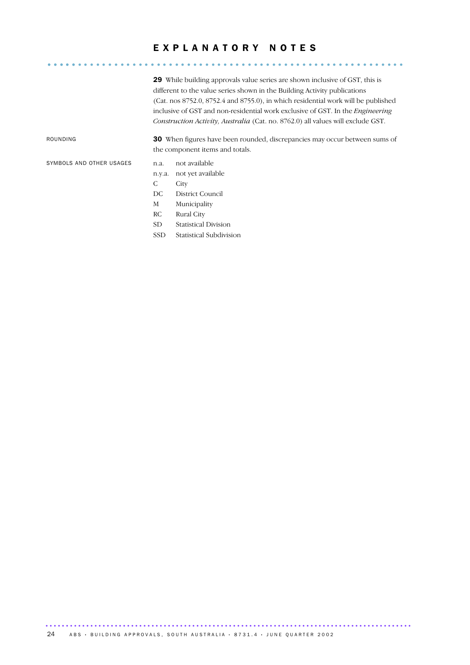### E X P L A N A T O R Y N O T E S ........................................................... .....

29 While building approvals value series are shown inclusive of GST, this is different to the value series shown in the Building Activity publications (Cat. nos 8752.0, 8752.4 and 8755.0), in which residential work will be published inclusive of GST and non-residential work exclusive of GST. In the *Engineering Construction Activity, Australia* (Cat. no. 8762.0) all values will exclude GST.

ROUNDING 30 When figures have been rounded, discrepancies may occur between sums of the component items and totals.

SYMBOLS AND OTHER USAGES n.a. not available

#### n.y.a. not yet available

- C City
- DC District Council
- M Municipality
- RC Rural City
- SD Statistical Division
- SSD Statistical Subdivision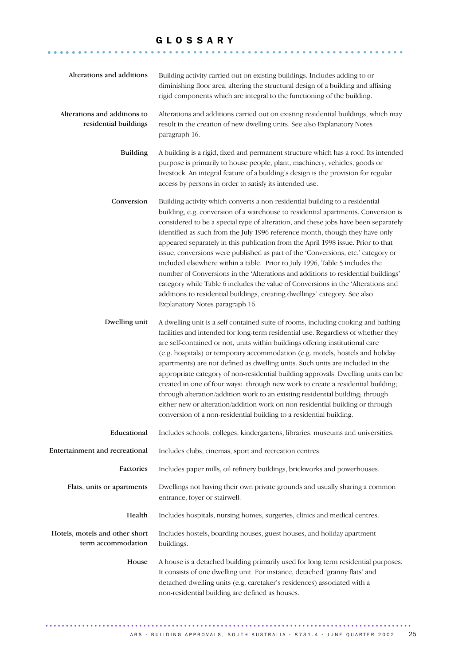#### G L O S S A R Y

........................................................... ......

| Alterations and additions                             | Building activity carried out on existing buildings. Includes adding to or<br>diminishing floor area, altering the structural design of a building and affixing<br>rigid components which are integral to the functioning of the building.                                                                                                                                                                                                                                                                                                                                                                                                                                                                                                                                                                                                                                               |
|-------------------------------------------------------|------------------------------------------------------------------------------------------------------------------------------------------------------------------------------------------------------------------------------------------------------------------------------------------------------------------------------------------------------------------------------------------------------------------------------------------------------------------------------------------------------------------------------------------------------------------------------------------------------------------------------------------------------------------------------------------------------------------------------------------------------------------------------------------------------------------------------------------------------------------------------------------|
| Alterations and additions to<br>residential buildings | Alterations and additions carried out on existing residential buildings, which may<br>result in the creation of new dwelling units. See also Explanatory Notes<br>paragraph 16.                                                                                                                                                                                                                                                                                                                                                                                                                                                                                                                                                                                                                                                                                                          |
| <b>Building</b>                                       | A building is a rigid, fixed and permanent structure which has a roof. Its intended<br>purpose is primarily to house people, plant, machinery, vehicles, goods or<br>livestock. An integral feature of a building's design is the provision for regular<br>access by persons in order to satisfy its intended use.                                                                                                                                                                                                                                                                                                                                                                                                                                                                                                                                                                       |
| Conversion                                            | Building activity which converts a non-residential building to a residential<br>building, e.g. conversion of a warehouse to residential apartments. Conversion is<br>considered to be a special type of alteration, and these jobs have been separately<br>identified as such from the July 1996 reference month, though they have only<br>appeared separately in this publication from the April 1998 issue. Prior to that<br>issue, conversions were published as part of the 'Conversions, etc.' category or<br>included elsewhere within a table. Prior to July 1996, Table 5 includes the<br>number of Conversions in the 'Alterations and additions to residential buildings'<br>category while Table 6 includes the value of Conversions in the 'Alterations and<br>additions to residential buildings, creating dwellings' category. See also<br>Explanatory Notes paragraph 16. |
| Dwelling unit                                         | A dwelling unit is a self-contained suite of rooms, including cooking and bathing<br>facilities and intended for long-term residential use. Regardless of whether they<br>are self-contained or not, units within buildings offering institutional care<br>(e.g. hospitals) or temporary accommodation (e.g. motels, hostels and holiday<br>apartments) are not defined as dwelling units. Such units are included in the<br>appropriate category of non-residential building approvals. Dwelling units can be<br>created in one of four ways: through new work to create a residential building;<br>through alteration/addition work to an existing residential building; through<br>either new or alteration/addition work on non-residential building or through<br>conversion of a non-residential building to a residential building.                                               |
| Educational                                           | Includes schools, colleges, kindergartens, libraries, museums and universities.                                                                                                                                                                                                                                                                                                                                                                                                                                                                                                                                                                                                                                                                                                                                                                                                          |
| Entertainment and recreational                        | Includes clubs, cinemas, sport and recreation centres.                                                                                                                                                                                                                                                                                                                                                                                                                                                                                                                                                                                                                                                                                                                                                                                                                                   |
| Factories                                             | Includes paper mills, oil refinery buildings, brickworks and powerhouses.                                                                                                                                                                                                                                                                                                                                                                                                                                                                                                                                                                                                                                                                                                                                                                                                                |
| Flats, units or apartments                            | Dwellings not having their own private grounds and usually sharing a common<br>entrance, foyer or stairwell.                                                                                                                                                                                                                                                                                                                                                                                                                                                                                                                                                                                                                                                                                                                                                                             |
| Health                                                | Includes hospitals, nursing homes, surgeries, clinics and medical centres.                                                                                                                                                                                                                                                                                                                                                                                                                                                                                                                                                                                                                                                                                                                                                                                                               |
| Hotels, motels and other short<br>term accommodation  | Includes hostels, boarding houses, guest houses, and holiday apartment<br>buildings.                                                                                                                                                                                                                                                                                                                                                                                                                                                                                                                                                                                                                                                                                                                                                                                                     |
| House                                                 | A house is a detached building primarily used for long term residential purposes.<br>It consists of one dwelling unit. For instance, detached 'granny flats' and<br>detached dwelling units (e.g. caretaker's residences) associated with a<br>non-residential building are defined as houses.                                                                                                                                                                                                                                                                                                                                                                                                                                                                                                                                                                                           |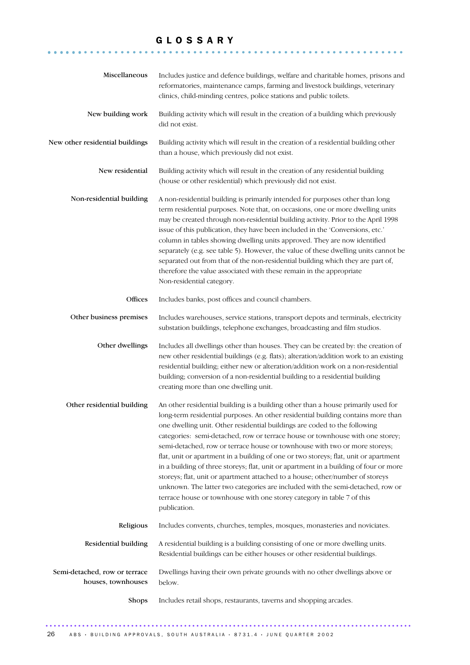### G L O S S A R Y

........................................................... ......

| Miscellaneous                                       | Includes justice and defence buildings, welfare and charitable homes, prisons and<br>reformatories, maintenance camps, farming and livestock buildings, veterinary<br>clinics, child-minding centres, police stations and public toilets.                                                                                                                                                                                                                                                                                                                                                                                                                                                                                                                                                                                                                       |
|-----------------------------------------------------|-----------------------------------------------------------------------------------------------------------------------------------------------------------------------------------------------------------------------------------------------------------------------------------------------------------------------------------------------------------------------------------------------------------------------------------------------------------------------------------------------------------------------------------------------------------------------------------------------------------------------------------------------------------------------------------------------------------------------------------------------------------------------------------------------------------------------------------------------------------------|
| New building work                                   | Building activity which will result in the creation of a building which previously<br>did not exist.                                                                                                                                                                                                                                                                                                                                                                                                                                                                                                                                                                                                                                                                                                                                                            |
| New other residential buildings                     | Building activity which will result in the creation of a residential building other<br>than a house, which previously did not exist.                                                                                                                                                                                                                                                                                                                                                                                                                                                                                                                                                                                                                                                                                                                            |
| New residential                                     | Building activity which will result in the creation of any residential building<br>(house or other residential) which previously did not exist.                                                                                                                                                                                                                                                                                                                                                                                                                                                                                                                                                                                                                                                                                                                 |
| Non-residential building                            | A non-residential building is primarily intended for purposes other than long<br>term residential purposes. Note that, on occasions, one or more dwelling units<br>may be created through non-residential building activity. Prior to the April 1998<br>issue of this publication, they have been included in the 'Conversions, etc.'<br>column in tables showing dwelling units approved. They are now identified<br>separately (e.g. see table 5). However, the value of these dwelling units cannot be<br>separated out from that of the non-residential building which they are part of,<br>therefore the value associated with these remain in the appropriate<br>Non-residential category.                                                                                                                                                                |
| Offices                                             | Includes banks, post offices and council chambers.                                                                                                                                                                                                                                                                                                                                                                                                                                                                                                                                                                                                                                                                                                                                                                                                              |
| Other business premises                             | Includes warehouses, service stations, transport depots and terminals, electricity<br>substation buildings, telephone exchanges, broadcasting and film studios.                                                                                                                                                                                                                                                                                                                                                                                                                                                                                                                                                                                                                                                                                                 |
| Other dwellings                                     | Includes all dwellings other than houses. They can be created by: the creation of<br>new other residential buildings (e.g. flats); alteration/addition work to an existing<br>residential building; either new or alteration/addition work on a non-residential<br>building; conversion of a non-residential building to a residential building<br>creating more than one dwelling unit.                                                                                                                                                                                                                                                                                                                                                                                                                                                                        |
| Other residential building                          | An other residential building is a building other than a house primarily used for<br>long-term residential purposes. An other residential building contains more than<br>one dwelling unit. Other residential buildings are coded to the following<br>categories: semi-detached, row or terrace house or townhouse with one storey;<br>semi-detached, row or terrace house or townhouse with two or more storeys;<br>flat, unit or apartment in a building of one or two storeys; flat, unit or apartment<br>in a building of three storeys; flat, unit or apartment in a building of four or more<br>storeys; flat, unit or apartment attached to a house; other/number of storeys<br>unknown. The latter two categories are included with the semi-detached, row or<br>terrace house or townhouse with one storey category in table 7 of this<br>publication. |
| Religious                                           | Includes convents, churches, temples, mosques, monasteries and noviciates.                                                                                                                                                                                                                                                                                                                                                                                                                                                                                                                                                                                                                                                                                                                                                                                      |
| Residential building                                | A residential building is a building consisting of one or more dwelling units.<br>Residential buildings can be either houses or other residential buildings.                                                                                                                                                                                                                                                                                                                                                                                                                                                                                                                                                                                                                                                                                                    |
| Semi-detached, row or terrace<br>houses, townhouses | Dwellings having their own private grounds with no other dwellings above or<br>below.                                                                                                                                                                                                                                                                                                                                                                                                                                                                                                                                                                                                                                                                                                                                                                           |
| <b>Shops</b>                                        | Includes retail shops, restaurants, taverns and shopping arcades.                                                                                                                                                                                                                                                                                                                                                                                                                                                                                                                                                                                                                                                                                                                                                                                               |